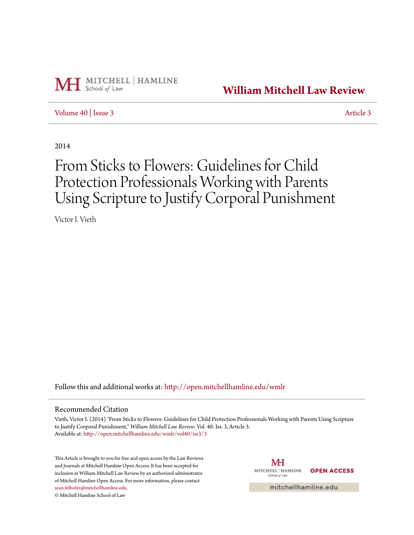

**[William Mitchell Law Review](http://open.mitchellhamline.edu/wmlr?utm_source=open.mitchellhamline.edu%2Fwmlr%2Fvol40%2Fiss3%2F3&utm_medium=PDF&utm_campaign=PDFCoverPages)**

[Volume 40](http://open.mitchellhamline.edu/wmlr/vol40?utm_source=open.mitchellhamline.edu%2Fwmlr%2Fvol40%2Fiss3%2F3&utm_medium=PDF&utm_campaign=PDFCoverPages) | [Issue 3](http://open.mitchellhamline.edu/wmlr/vol40/iss3?utm_source=open.mitchellhamline.edu%2Fwmlr%2Fvol40%2Fiss3%2F3&utm_medium=PDF&utm_campaign=PDFCoverPages) [Article 3](http://open.mitchellhamline.edu/wmlr/vol40/iss3/3?utm_source=open.mitchellhamline.edu%2Fwmlr%2Fvol40%2Fiss3%2F3&utm_medium=PDF&utm_campaign=PDFCoverPages)

2014

# From Sticks to Flowers: Guidelines for Child Protection Professionals Working with Parents Using Scripture to Justify Corporal Punishment

Victor I. Vieth

Follow this and additional works at: [http://open.mitchellhamline.edu/wmlr](http://open.mitchellhamline.edu/wmlr?utm_source=open.mitchellhamline.edu%2Fwmlr%2Fvol40%2Fiss3%2F3&utm_medium=PDF&utm_campaign=PDFCoverPages)

# Recommended Citation

Vieth, Victor I. (2014) "From Sticks to Flowers: Guidelines for Child Protection Professionals Working with Parents Using Scripture to Justify Corporal Punishment," *William Mitchell Law Review*: Vol. 40: Iss. 3, Article 3. Available at: [http://open.mitchellhamline.edu/wmlr/vol40/iss3/3](http://open.mitchellhamline.edu/wmlr/vol40/iss3/3?utm_source=open.mitchellhamline.edu%2Fwmlr%2Fvol40%2Fiss3%2F3&utm_medium=PDF&utm_campaign=PDFCoverPages)

This Article is brought to you for free and open access by the Law Reviews and Journals at Mitchell Hamline Open Access. It has been accepted for inclusion in William Mitchell Law Review by an authorized administrator of Mitchell Hamline Open Access. For more information, please contact [sean.felhofer@mitchellhamline.edu](mailto:sean.felhofer@mitchellhamline.edu).

© Mitchell Hamline School of Law

МH MITCHELL | HAMLINE **OPEN ACCESS** School of Law

mitchellhamline.edu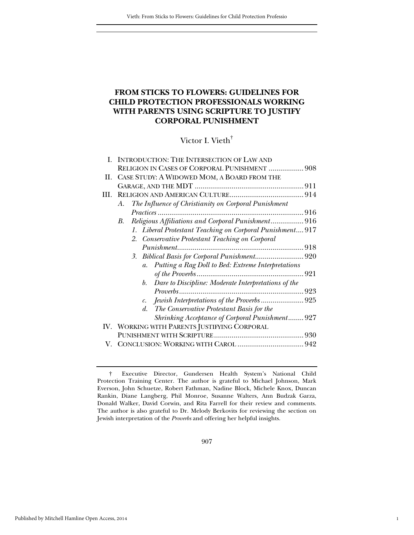# **FROM STICKS TO FLOWERS: GUIDELINES FOR CHILD PROTECTION PROFESSIONALS WORKING WITH PARENTS USING SCRIPTURE TO JUSTIFY CORPORAL PUNISHMENT**

Victor I. Vieth†

| L   | <b>INTRODUCTION: THE INTERSECTION OF LAW AND</b>                  |
|-----|-------------------------------------------------------------------|
|     | RELIGION IN CASES OF CORPORAL PUNISHMENT  908                     |
| П.  | CASE STUDY: A WIDOWED MOM, A BOARD FROM THE                       |
|     |                                                                   |
| HL. |                                                                   |
|     | The Influence of Christianity on Corporal Punishment<br>A.        |
|     |                                                                   |
|     | Religious Affiliations and Corporal Punishment 916<br>В.          |
|     | 1. Liberal Protestant Teaching on Corporal Punishment 917         |
|     | 2. Conservative Protestant Teaching on Corporal                   |
|     |                                                                   |
|     | 3. Biblical Basis for Corporal Punishment920                      |
|     | Putting a Rag Doll to Bed: Extreme Interpretations<br>$a_{\cdot}$ |
|     |                                                                   |
|     | Dare to Discipline: Moderate Interpretations of the<br>b.         |
|     | $Proverbs$<br>923<br>                                             |
|     | Jewish Interpretations of the Proverbs 925<br>$\mathcal{C}$ .     |
|     | The Conservative Protestant Basis for the<br>$d_{\cdot}$          |
|     | Shrinking Acceptance of Corporal Punishment 927                   |
|     | IV. WORKING WITH PARENTS JUSTIFYING CORPORAL                      |
|     |                                                                   |
|     |                                                                   |

1

† Executive Director, Gundersen Health System's National Child Protection Training Center. The author is grateful to Michael Johnson, Mark Everson, John Schuetze, Robert Fathman, Nadine Block, Michele Knox, Duncan Rankin, Diane Langberg, Phil Monroe, Susanne Walters, Ann Budzak Garza, Donald Walker, David Corwin, and Rita Farrell for their review and comments. The author is also grateful to Dr. Melody Berkovits for reviewing the section on Jewish interpretation of the *Proverbs* and offering her helpful insights.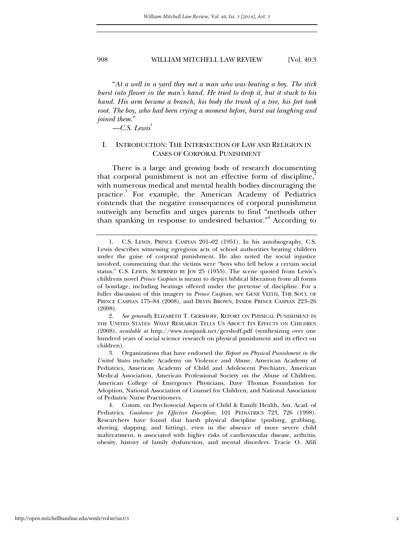"*At a well in a yard they met a man who was beating a boy. The stick burst into flower in the man's hand. He tried to drop it, but it stuck to his hand. His arm became a branch, his body the trunk of a tree, his feet took root. The boy, who had been crying a moment before, burst out laughing and joined them.*"

 $-C.S.$  Lewis<sup>1</sup>

# I. INTRODUCTION: THE INTERSECTION OF LAW AND RELIGION IN CASES OF CORPORAL PUNISHMENT

There is a large and growing body of research documenting that corporal punishment is not an effective form of discipline, $\dot{z}$ with numerous medical and mental health bodies discouraging the practice.<sup>3</sup> For example, the American Academy of Pediatrics contends that the negative consequences of corporal punishment outweigh any benefits and urges parents to find "methods other than spanking in response to undesired behavior."<sup>4</sup> According to

 <sup>1.</sup> C.S. LEWIS, PRINCE CASPIAN 201–02 (1951). In his autobiography, C.S. Lewis describes witnessing egregious acts of school authorities beating children under the guise of corporal punishment. He also noted the social injustice involved, commenting that the victims were "boys who fell below a certain social status." C.S. LEWIS, SURPRISED BY JOY 25 (1955). The scene quoted from Lewis's childrens novel *Prince Caspian* is meant to depict biblical liberation from all forms of bondage, including beatings offered under the pretense of discipline. For a fuller discussion of this imagery in *Prince Caspian*, see GENE VEITH, THE SOUL OF PRINCE CASPIAN 175–84 (2008), and DEVIN BROWN, INSIDE PRINCE CASPIAN 223–26 (2008).

 <sup>2.</sup> *See generally* ELIZABETH T. GERSHOFF, REPORT ON PHYSICAL PUNISHMENT IN THE UNITED STATES: WHAT RESEARCH TELLS US ABOUT ITS EFFECTS ON CHILDREN (2008), *available at* http://www.nospank.net/gershoff.pdf (synthesizing over one hundred years of social science research on physical punishment and its effect on children).

 <sup>3.</sup> Organizations that have endorsed the *Report on Physical Punishment in the United States* include: Academy on Violence and Abuse, American Academy of Pediatrics, American Academy of Child and Adolescent Psychiatry, American Medical Association, American Professional Society on the Abuse of Children, American College of Emergency Physicians, Dave Thomas Foundation for Adoption, National Association of Counsel for Children, and National Association of Pediatric Nurse Practitioners.

 <sup>4.</sup> Comm. on Psychosocial Aspects of Child & Family Health, Am. Acad. of Pediatrics, *Guidance for Effective Discipline*, 101 PEDIATRICS 723, 726 (1998). Researchers have found that harsh physical discipline (pushing, grabbing, shoving, slapping, and hitting), even in the absence of more severe child maltreatment, is associated with higher risks of cardiovascular disease, arthritis, obesity, history of family dysfunction, and mental disorders. Tracie O. Afifi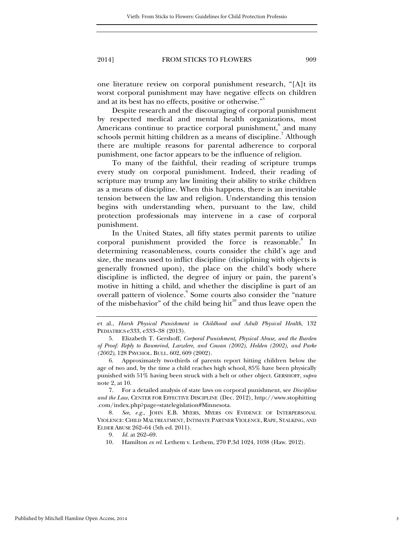one literature review on corporal punishment research, "[A]t its worst corporal punishment may have negative effects on children and at its best has no effects, positive or otherwise."

Despite research and the discouraging of corporal punishment by respected medical and mental health organizations, most Americans continue to practice corporal punishment,<sup>6</sup> and many schools permit hitting children as a means of discipline.<sup>7</sup> Although there are multiple reasons for parental adherence to corporal punishment, one factor appears to be the influence of religion.

To many of the faithful, their reading of scripture trumps every study on corporal punishment. Indeed, their reading of scripture may trump any law limiting their ability to strike children as a means of discipline. When this happens, there is an inevitable tension between the law and religion. Understanding this tension begins with understanding when, pursuant to the law, child protection professionals may intervene in a case of corporal punishment.

In the United States, all fifty states permit parents to utilize corporal punishment provided the force is reasonable.<sup>8</sup> In determining reasonableness, courts consider the child's age and size, the means used to inflict discipline (disciplining with objects is generally frowned upon), the place on the child's body where discipline is inflicted, the degree of injury or pain, the parent's motive in hitting a child, and whether the discipline is part of an overall pattern of violence.<sup>9</sup> Some courts also consider the "nature of the misbehavior" of the child being hit $^{\prime\prime}$  and thus leave open the

et al., *Harsh Physical Punishment in Childhood and Adult Physical Health*, 132 PEDIATRICS e333, e333–38 (2013).

 <sup>5.</sup> Elizabeth T. Gershoff, *Corporal Punishment, Physical Abuse, and the Burden of Proof: Reply to Baumrind, Larzelere, and Cowan (2002), Holden (2002), and Parke (2002)*, 128 PSYCHOL. BULL. 602, 609 (2002).

 <sup>6.</sup> Approximately two-thirds of parents report hitting children below the age of two and, by the time a child reaches high school, 85% have been physically punished with 51% having been struck with a belt or other object. GERSHOFF, *supra* note 2, at 10.

 <sup>7.</sup> For a detailed analysis of state laws on corporal punishment, see *Discipline and the Law*, CENTER FOR EFFECTIVE DISCIPLINE (Dec. 2012), http://www.stophitting .com/index.php?page=statelegislation#Minnesota.

 <sup>8.</sup> *See, e.g.*, JOHN E.B. MYERS, MYERS ON EVIDENCE OF INTERPERSONAL VIOLENCE: CHILD MALTREATMENT, INTIMATE PARTNER VIOLENCE, RAPE, STALKING, AND ELDER ABUSE 262–64 (5th ed. 2011).

 <sup>9.</sup> *Id.* at 262–69.

 <sup>10.</sup> Hamilton *ex rel.* Lethem v. Lethem, 270 P.3d 1024, 1038 (Haw. 2012).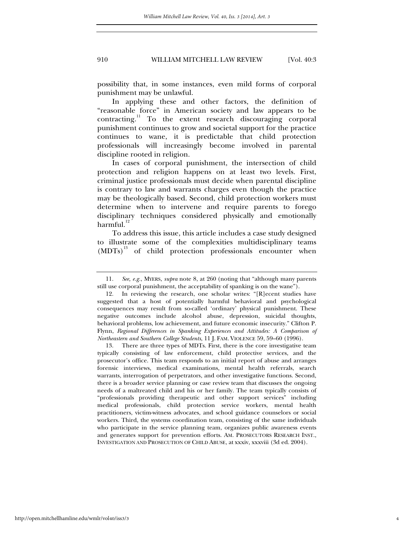possibility that, in some instances, even mild forms of corporal punishment may be unlawful.

In applying these and other factors, the definition of "reasonable force" in American society and law appears to be contracting.11 To the extent research discouraging corporal punishment continues to grow and societal support for the practice continues to wane, it is predictable that child protection professionals will increasingly become involved in parental discipline rooted in religion.

In cases of corporal punishment, the intersection of child protection and religion happens on at least two levels. First, criminal justice professionals must decide when parental discipline is contrary to law and warrants charges even though the practice may be theologically based. Second, child protection workers must determine when to intervene and require parents to forego disciplinary techniques considered physically and emotionally harmful.<sup>12</sup>

To address this issue, this article includes a case study designed to illustrate some of the complexities multidisciplinary teams  $(MDTs)^{13}$  of child protection professionals encounter when

 13. There are three types of MDTs. First, there is the core investigative team typically consisting of law enforcement, child protective services, and the prosecutor's office. This team responds to an initial report of abuse and arranges forensic interviews, medical examinations, mental health referrals, search warrants, interrogation of perpetrators, and other investigative functions. Second, there is a broader service planning or case review team that discusses the ongoing needs of a maltreated child and his or her family. The team typically consists of "professionals providing therapeutic and other support services" including medical professionals, child protection service workers, mental health practitioners, victim-witness advocates, and school guidance counselors or social workers. Third, the systems coordination team, consisting of the same individuals who participate in the service planning team, organizes public awareness events and generates support for prevention efforts. AM. PROSECUTORS RESEARCH INST., INVESTIGATION AND PROSECUTION OF CHILD ABUSE, at xxxiv, xxxviii (3d ed. 2004).

4

 <sup>11.</sup> *See, e.g.*, MYERS, *supra* note 8, at 260 (noting that "although many parents still use corporal punishment, the acceptability of spanking is on the wane").

 <sup>12.</sup> In reviewing the research, one scholar writes: "[R]ecent studies have suggested that a host of potentially harmful behavioral and psychological consequences may result from so-called 'ordinary' physical punishment. These negative outcomes include alcohol abuse, depression, suicidal thoughts, behavioral problems, low achievement, and future economic insecurity." Clifton P. Flynn, *Regional Differences in Spanking Experiences and Attitudes: A Comparison of Northeastern and Southern College Students*, 11 J. FAM. VIOLENCE 59, 59–60 (1996).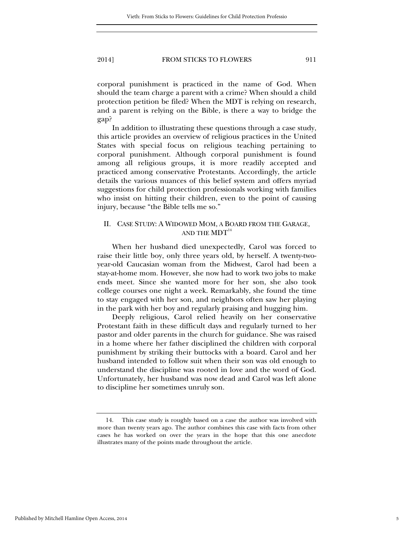corporal punishment is practiced in the name of God. When should the team charge a parent with a crime? When should a child protection petition be filed? When the MDT is relying on research, and a parent is relying on the Bible, is there a way to bridge the gap?

In addition to illustrating these questions through a case study, this article provides an overview of religious practices in the United States with special focus on religious teaching pertaining to corporal punishment. Although corporal punishment is found among all religious groups, it is more readily accepted and practiced among conservative Protestants. Accordingly, the article details the various nuances of this belief system and offers myriad suggestions for child protection professionals working with families who insist on hitting their children, even to the point of causing injury, because "the Bible tells me so."

# II. CASE STUDY: A WIDOWED MOM, A BOARD FROM THE GARAGE, AND THE  $MDT<sup>14</sup>$

When her husband died unexpectedly, Carol was forced to raise their little boy, only three years old, by herself. A twenty-twoyear-old Caucasian woman from the Midwest, Carol had been a stay-at-home mom. However, she now had to work two jobs to make ends meet. Since she wanted more for her son, she also took college courses one night a week. Remarkably, she found the time to stay engaged with her son, and neighbors often saw her playing in the park with her boy and regularly praising and hugging him.

Deeply religious, Carol relied heavily on her conservative Protestant faith in these difficult days and regularly turned to her pastor and older parents in the church for guidance. She was raised in a home where her father disciplined the children with corporal punishment by striking their buttocks with a board. Carol and her husband intended to follow suit when their son was old enough to understand the discipline was rooted in love and the word of God. Unfortunately, her husband was now dead and Carol was left alone to discipline her sometimes unruly son.

 <sup>14.</sup> This case study is roughly based on a case the author was involved with more than twenty years ago. The author combines this case with facts from other cases he has worked on over the years in the hope that this one anecdote illustrates many of the points made throughout the article.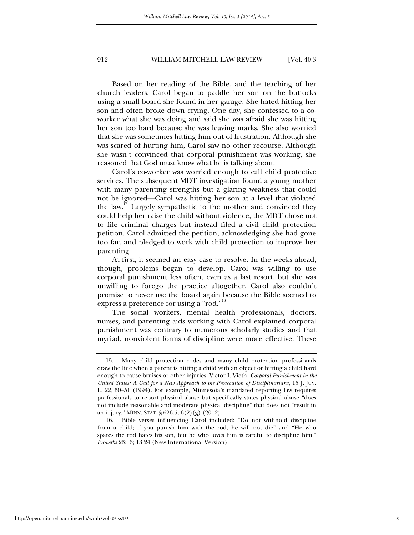Based on her reading of the Bible, and the teaching of her church leaders, Carol began to paddle her son on the buttocks using a small board she found in her garage. She hated hitting her son and often broke down crying. One day, she confessed to a coworker what she was doing and said she was afraid she was hitting her son too hard because she was leaving marks. She also worried that she was sometimes hitting him out of frustration. Although she was scared of hurting him, Carol saw no other recourse. Although she wasn't convinced that corporal punishment was working, she reasoned that God must know what he is talking about.

Carol's co-worker was worried enough to call child protective services. The subsequent MDT investigation found a young mother with many parenting strengths but a glaring weakness that could not be ignored—Carol was hitting her son at a level that violated the law.<sup>15</sup> Largely sympathetic to the mother and convinced they could help her raise the child without violence, the MDT chose not to file criminal charges but instead filed a civil child protection petition. Carol admitted the petition, acknowledging she had gone too far, and pledged to work with child protection to improve her parenting.

At first, it seemed an easy case to resolve. In the weeks ahead, though, problems began to develop. Carol was willing to use corporal punishment less often, even as a last resort, but she was unwilling to forego the practice altogether. Carol also couldn't promise to never use the board again because the Bible seemed to express a preference for using a "rod."<sup>16</sup>

The social workers, mental health professionals, doctors, nurses, and parenting aids working with Carol explained corporal punishment was contrary to numerous scholarly studies and that myriad, nonviolent forms of discipline were more effective. These

 <sup>15.</sup> Many child protection codes and many child protection professionals draw the line when a parent is hitting a child with an object or hitting a child hard enough to cause bruises or other injuries. Victor I. Vieth, *Corporal Punishment in the United States: A Call for a New Approach to the Prosecution of Disciplinarians*, 15 J. JUV. L. 22, 50–51 (1994). For example, Minnesota's mandated reporting law requires professionals to report physical abuse but specifically states physical abuse "does not include reasonable and moderate physical discipline" that does not "result in an injury." MINN. STAT. § 626.556(2)(g) (2012).

 <sup>16.</sup> Bible verses influencing Carol included: "Do not withhold discipline from a child; if you punish him with the rod, he will not die" and "He who spares the rod hates his son, but he who loves him is careful to discipline him." *Proverbs* 23:13; 13:24 (New International Version).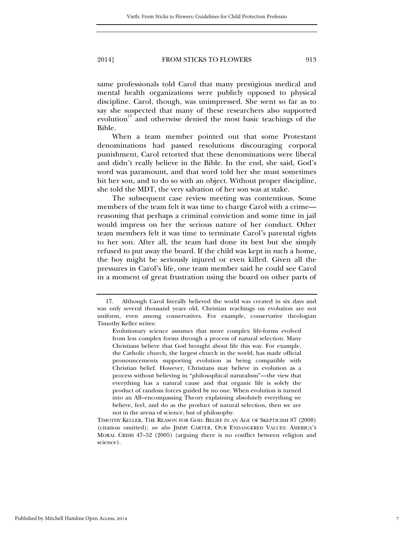same professionals told Carol that many prestigious medical and mental health organizations were publicly opposed to physical discipline. Carol, though, was unimpressed. She went so far as to say she suspected that many of these researchers also supported evolution<sup>17</sup> and otherwise denied the most basic teachings of the Bible.

When a team member pointed out that some Protestant denominations had passed resolutions discouraging corporal punishment, Carol retorted that these denominations were liberal and didn't really believe in the Bible. In the end, she said, God's word was paramount, and that word told her she must sometimes hit her son, and to do so with an object. Without proper discipline, she told the MDT, the very salvation of her son was at stake.

The subsequent case review meeting was contentious. Some members of the team felt it was time to charge Carol with a crime reasoning that perhaps a criminal conviction and some time in jail would impress on her the serious nature of her conduct. Other team members felt it was time to terminate Carol's parental rights to her son. After all, the team had done its best but she simply refused to put away the board. If the child was kept in such a home, the boy might be seriously injured or even killed. Given all the pressures in Carol's life, one team member said he could see Carol in a moment of great frustration using the board on other parts of

 <sup>17.</sup> Although Carol literally believed the world was created in six days and was only several thousand years old, Christian teachings on evolution are not uniform, even among conservatives. For example, conservative theologian Timothy Keller writes:

Evolutionary science assumes that more complex life-forms evolved from less complex forms through a process of natural selection. Many Christians believe that God brought about life this way. For example, the Catholic church, the largest church in the world, has made official pronouncements supporting evolution as being compatible with Christian belief. However, Christians may believe in evolution as a process without believing in "philosophical naturalism"—the view that everything has a natural cause and that organic life is solely the product of random forces guided by no one. When evolution is turned into an All–encompassing Theory explaining absolutely everything we believe, feel, and do as the product of natural selection, then we are not in the arena of science, but of philosophy.

TIMOTHY KELLER, THE REASON FOR GOD: BELIEF IN AN AGE OF SKEPTICISM 87 (2008) (citation omitted); *see also* JIMMY CARTER, OUR ENDANGERED VALUES: AMERICA'S MORAL CRISIS 47–52 (2005) (arguing there is no conflict between religion and science).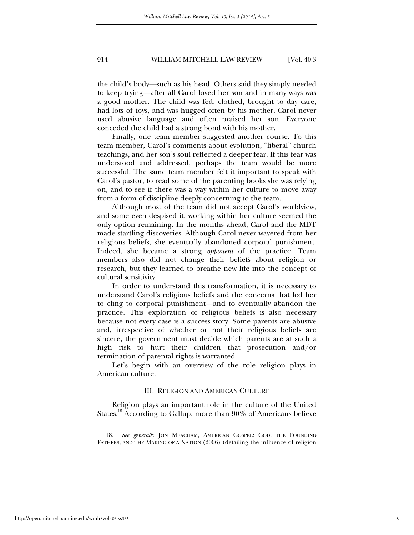the child's body—such as his head. Others said they simply needed to keep trying—after all Carol loved her son and in many ways was a good mother. The child was fed, clothed, brought to day care, had lots of toys, and was hugged often by his mother. Carol never used abusive language and often praised her son. Everyone conceded the child had a strong bond with his mother.

Finally, one team member suggested another course. To this team member, Carol's comments about evolution, "liberal" church teachings, and her son's soul reflected a deeper fear. If this fear was understood and addressed, perhaps the team would be more successful. The same team member felt it important to speak with Carol's pastor, to read some of the parenting books she was relying on, and to see if there was a way within her culture to move away from a form of discipline deeply concerning to the team.

Although most of the team did not accept Carol's worldview, and some even despised it, working within her culture seemed the only option remaining. In the months ahead, Carol and the MDT made startling discoveries. Although Carol never wavered from her religious beliefs, she eventually abandoned corporal punishment. Indeed, she became a strong *opponent* of the practice. Team members also did not change their beliefs about religion or research, but they learned to breathe new life into the concept of cultural sensitivity.

In order to understand this transformation, it is necessary to understand Carol's religious beliefs and the concerns that led her to cling to corporal punishment—and to eventually abandon the practice. This exploration of religious beliefs is also necessary because not every case is a success story. Some parents are abusive and, irrespective of whether or not their religious beliefs are sincere, the government must decide which parents are at such a high risk to hurt their children that prosecution and/or termination of parental rights is warranted.

Let's begin with an overview of the role religion plays in American culture.

#### III. RELIGION AND AMERICAN CULTURE

Religion plays an important role in the culture of the United States.<sup>18</sup> According to Gallup, more than 90% of Americans believe

 <sup>18.</sup> *See generally* JON MEACHAM, AMERICAN GOSPEL: GOD, THE FOUNDING FATHERS, AND THE MAKING OF A NATION (2006) (detailing the influence of religion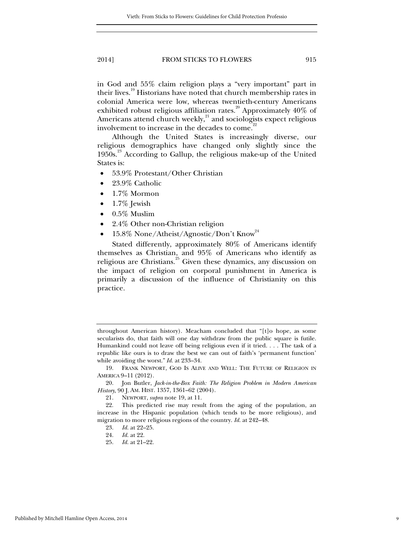in God and 55% claim religion plays a "very important" part in their lives.<sup>19</sup> Historians have noted that church membership rates in colonial America were low, whereas twentieth-century Americans exhibited robust religious affiliation rates.<sup>20</sup> Approximately  $40\%$  of Americans attend church weekly, $^{21}$  and sociologists expect religious involvement to increase in the decades to come.<sup>2</sup>

Although the United States is increasingly diverse, our religious demographics have changed only slightly since the 1950s.<sup>23</sup> According to Gallup, the religious make-up of the United States is:

- 53.9% Protestant/Other Christian
- 23.9% Catholic
- 1.7% Mormon
- 1.7% Jewish
- 0.5% Muslim
- 2.4% Other non-Christian religion
- 15.8% None/Atheist/Agnostic/Don't Know<sup>24</sup>

Stated differently, approximately 80% of Americans identify themselves as Christian, and 95% of Americans who identify as religious are Christians.<sup>25</sup> Given these dynamics, any discussion on the impact of religion on corporal punishment in America is primarily a discussion of the influence of Christianity on this practice.

throughout American history). Meacham concluded that "[t]o hope, as some secularists do, that faith will one day withdraw from the public square is futile. Humankind could not leave off being religious even if it tried. . . . The task of a republic like ours is to draw the best we can out of faith's 'permanent function' while avoiding the worst." *Id.* at 233–34.

 <sup>19.</sup> FRANK NEWPORT, GOD IS ALIVE AND WELL: THE FUTURE OF RELIGION IN AMERICA 9–11 (2012).

 <sup>20.</sup> Jon Butler, *Jack-in-the-Box Faith: The Religion Problem in Modern American History*, 90 J. AM. HIST. 1357, 1361–62 (2004).

 <sup>21.</sup> NEWPORT, *supra* note 19, at 11.

 <sup>22.</sup> This predicted rise may result from the aging of the population, an increase in the Hispanic population (which tends to be more religious), and migration to more religious regions of the country. *Id.* at 242–48.

 <sup>23.</sup> *Id.* at 22–25.

 <sup>24.</sup> *Id.* at 22.

 <sup>25.</sup> *Id.* at 21–22.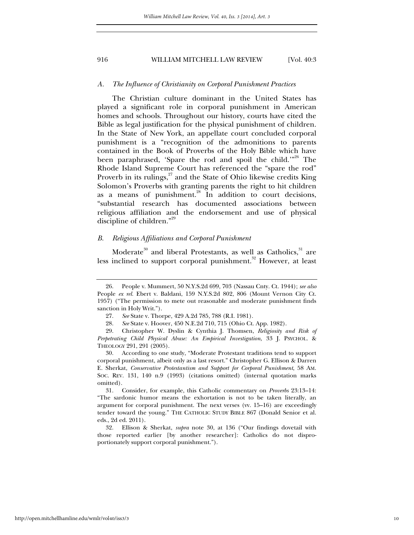#### *A. The Influence of Christianity on Corporal Punishment Practices*

The Christian culture dominant in the United States has played a significant role in corporal punishment in American homes and schools. Throughout our history, courts have cited the Bible as legal justification for the physical punishment of children. In the State of New York, an appellate court concluded corporal punishment is a "recognition of the admonitions to parents contained in the Book of Proverbs of the Holy Bible which have been paraphrased, 'Spare the rod and spoil the child.'"<sup>26</sup> The Rhode Island Supreme Court has referenced the "spare the rod" Proverb in its rulings, $^{27}$  and the State of Ohio likewise credits King Solomon's Proverbs with granting parents the right to hit children as a means of punishment.<sup>28</sup> In addition to court decisions, "substantial research has documented associations between religious affiliation and the endorsement and use of physical discipline of children."<sup>29</sup>

## *B. Religious Affiliations and Corporal Punishment*

Moderate $^{30}$  and liberal Protestants, as well as Catholics, $^{31}$  are less inclined to support corporal punishment.<sup>32</sup> However, at least

 30. According to one study, "Moderate Protestant traditions tend to support corporal punishment, albeit only as a last resort." Christopher G. Ellison & Darren E. Sherkat, *Conservative Protestantism and Support for Corporal Punishment*, 58 AM. SOC. REV. 131, 140 n.9 (1993) (citations omitted) (internal quotation marks omitted).

 31. Consider, for example, this Catholic commentary on *Proverbs* 23:13–14: "The sardonic humor means the exhortation is not to be taken literally, an argument for corporal punishment. The next verses (vv. 15–16) are exceedingly tender toward the young." THE CATHOLIC STUDY BIBLE 867 (Donald Senior et al. eds., 2d ed. 2011).

 32. Ellison & Sherkat, *supra* note 30, at 136 ("Our findings dovetail with those reported earlier [by another researcher]: Catholics do not disproportionately support corporal punishment.").

 <sup>26.</sup> People v. Mummert, 50 N.Y.S.2d 699, 703 (Nassau Cnty. Ct. 1944); *see also*  People ex rel. Ebert v. Baldani, 159 N.Y.S.2d 802, 806 (Mount Vernon City Ct. 1957) ("The permission to mete out reasonable and moderate punishment finds sanction in Holy Writ.").

 <sup>27.</sup> *See* State v. Thorpe, 429 A.2d 785, 788 (R.I. 1981).

 <sup>28.</sup> *See* State v. Hoover, 450 N.E.2d 710, 715 (Ohio Ct. App. 1982).

 <sup>29.</sup> Christopher W. Dyslin & Cynthia J. Thomsen, *Religiosity and Risk of Perpetrating Child Physical Abuse: An Empirical Investigation*, 33 J. PSYCHOL. & THEOLOGY 291, 291 (2005).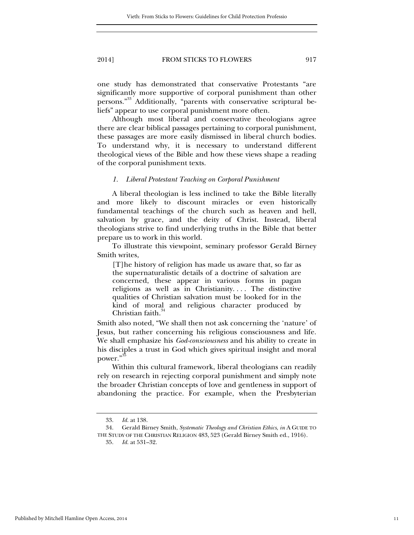one study has demonstrated that conservative Protestants "are significantly more supportive of corporal punishment than other persons."<sup>33</sup> Additionally, "parents with conservative scriptural beliefs" appear to use corporal punishment more often.

Although most liberal and conservative theologians agree there are clear biblical passages pertaining to corporal punishment, these passages are more easily dismissed in liberal church bodies. To understand why, it is necessary to understand different theological views of the Bible and how these views shape a reading of the corporal punishment texts.

#### *1. Liberal Protestant Teaching on Corporal Punishment*

A liberal theologian is less inclined to take the Bible literally and more likely to discount miracles or even historically fundamental teachings of the church such as heaven and hell, salvation by grace, and the deity of Christ. Instead, liberal theologians strive to find underlying truths in the Bible that better prepare us to work in this world.

To illustrate this viewpoint, seminary professor Gerald Birney Smith writes,

[T]he history of religion has made us aware that, so far as the supernaturalistic details of a doctrine of salvation are concerned, these appear in various forms in pagan religions as well as in Christianity. . . . The distinctive qualities of Christian salvation must be looked for in the kind of moral and religious character produced by Christian faith.<sup>3</sup>

Smith also noted, "We shall then not ask concerning the 'nature' of Jesus, but rather concerning his religious consciousness and life. We shall emphasize his *God-consciousness* and his ability to create in his disciples a trust in God which gives spiritual insight and moral power."

Within this cultural framework, liberal theologians can readily rely on research in rejecting corporal punishment and simply note the broader Christian concepts of love and gentleness in support of abandoning the practice. For example, when the Presbyterian

 <sup>33.</sup> *Id.* at 138.

 <sup>34.</sup> Gerald Birney Smith, *Systematic Theology and Christian Ethics*, *in* A GUIDE TO THE STUDY OF THE CHRISTIAN RELIGION 483, 523 (Gerald Birney Smith ed., 1916).

 <sup>35.</sup> *Id.* at 531–32.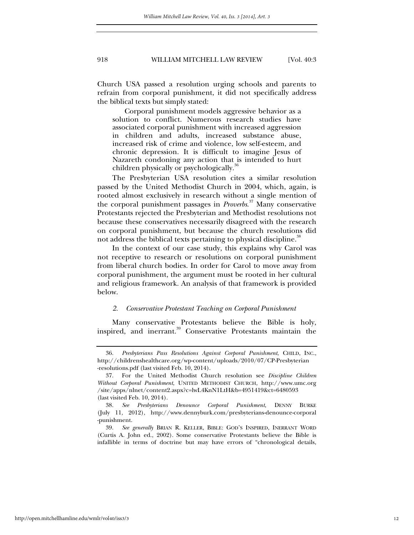Church USA passed a resolution urging schools and parents to refrain from corporal punishment, it did not specifically address the biblical texts but simply stated:

Corporal punishment models aggressive behavior as a solution to conflict. Numerous research studies have associated corporal punishment with increased aggression in children and adults, increased substance abuse, increased risk of crime and violence, low self-esteem, and chronic depression. It is difficult to imagine Jesus of Nazareth condoning any action that is intended to hurt children physically or psychologically.<sup>3</sup>

The Presbyterian USA resolution cites a similar resolution passed by the United Methodist Church in 2004, which, again, is rooted almost exclusively in research without a single mention of the corporal punishment passages in *Proverbs*. 37 Many conservative Protestants rejected the Presbyterian and Methodist resolutions not because these conservatives necessarily disagreed with the research on corporal punishment, but because the church resolutions did not address the biblical texts pertaining to physical discipline.<sup>38</sup>

In the context of our case study, this explains why Carol was not receptive to research or resolutions on corporal punishment from liberal church bodies. In order for Carol to move away from corporal punishment, the argument must be rooted in her cultural and religious framework. An analysis of that framework is provided below.

#### *2. Conservative Protestant Teaching on Corporal Punishment*

Many conservative Protestants believe the Bible is holy, inspired, and inerrant.<sup>39</sup> Conservative Protestants maintain the

 <sup>36.</sup> *Presbyterians Pass Resolutions Against Corporal Punishment*, CHILD, INC., http://childrenshealthcare.org/wp-content/uploads/2010/07/CP-Presbyterian -resolutions.pdf (last visited Feb. 10, 2014).

 <sup>37.</sup> For the United Methodist Church resolution see *Discipline Children Without Corporal Punishment*, UNITED METHODIST CHURCH, http://www.umc.org /site/apps/nlnet/content2.aspx?c=lwL4KnN1LtH&b=4951419&ct=6480593 (last visited Feb. 10, 2014).

 <sup>38.</sup> *See Presbyterians Denounce Corporal Punishment*, DENNY BURKE (July 11, 2012), http://www.dennyburk.com/presbyterians-denounce-corporal -punishment.

 <sup>39.</sup> *See generally* BRIAN R. KELLER, BIBLE: GOD'S INSPIRED, INERRANT WORD (Curtis A. John ed., 2002). Some conservative Protestants believe the Bible is infallible in terms of doctrine but may have errors of "chronological details,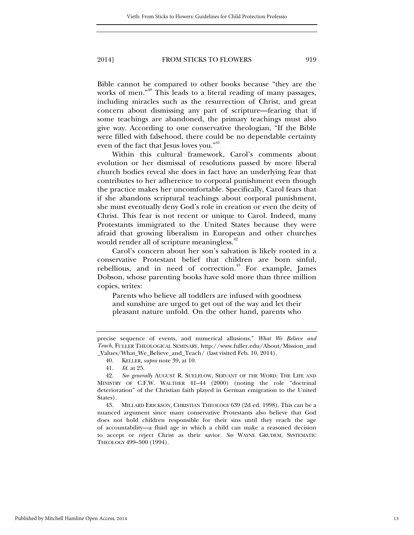Bible cannot be compared to other books because "they are the works of men."<sup>40</sup> This leads to a literal reading of many passages, including miracles such as the resurrection of Christ, and great concern about dismissing any part of scripture—fearing that if some teachings are abandoned, the primary teachings must also give way. According to one conservative theologian, "If the Bible were filled with falsehood, there could be no dependable certainty even of the fact that Jesus loves you."<sup>41</sup>

Within this cultural framework, Carol's comments about evolution or her dismissal of resolutions passed by more liberal church bodies reveal she does in fact have an underlying fear that contributes to her adherence to corporal punishment even though the practice makes her uncomfortable. Specifically, Carol fears that if she abandons scriptural teachings about corporal punishment, she must eventually deny God's role in creation or even the deity of Christ. This fear is not recent or unique to Carol. Indeed, many Protestants immigrated to the United States because they were afraid that growing liberalism in European and other churches would render all of scripture meaningless.<sup>42</sup>

Carol's concern about her son's salvation is likely rooted in a conservative Protestant belief that children are born sinful, rebellious, and in need of correction.<sup>43</sup> For example, James Dobson, whose parenting books have sold more than three million copies, writes:

Parents who believe all toddlers are infused with goodness and sunshine are urged to get out of the way and let their pleasant nature unfold. On the other hand, parents who

 43. MILLARD ERICKSON, CHRISTIAN THEOLOGY 639 (2d ed. 1998). This can be a nuanced argument since many conservative Protestants also believe that God does not hold children responsible for their sins until they reach the age of accountability—a fluid age in which a child can make a reasoned decision to accept or reject Christ as their savior. *See* WAYNE GRUDEM, SYSTEMATIC THEOLOGY 499–500 (1994).

precise sequence of events, and numerical allusions." *What We Believe and Teach*, FULLER THEOLOGICAL SEMINARY, http://www.fuller.edu/About/Mission\_and \_Values/What\_We\_Believe\_and\_Teach/ (last visited Feb. 10, 2014).

 <sup>40.</sup> KELLER, *supra* note 39, at 10.

 <sup>41.</sup> *Id.* at 25.

 <sup>42.</sup> *See generally* AUGUST R. SUELFLOW, SERVANT OF THE WORD: THE LIFE AND MINISTRY OF C.F.W. WALTHER 41–44 (2000) (noting the role "doctrinal deterioration" of the Christian faith played in German emigration to the United States).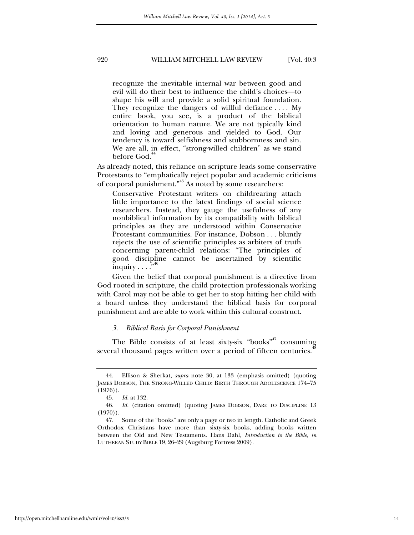recognize the inevitable internal war between good and evil will do their best to influence the child's choices—to shape his will and provide a solid spiritual foundation. They recognize the dangers of willful defiance . . . . My entire book, you see, is a product of the biblical orientation to human nature. We are not typically kind and loving and generous and yielded to God. Our tendency is toward selfishness and stubbornness and sin. We are all, in effect, "strong-willed children" as we stand before God.<sup>44</sup>

As already noted, this reliance on scripture leads some conservative Protestants to "emphatically reject popular and academic criticisms of corporal punishment."45 As noted by some researchers:

Conservative Protestant writers on childrearing attach little importance to the latest findings of social science researchers. Instead, they gauge the usefulness of any nonbiblical information by its compatibility with biblical principles as they are understood within Conservative Protestant communities. For instance, Dobson . . . bluntly rejects the use of scientific principles as arbiters of truth concerning parent-child relations: "The principles of good discipline cannot be ascertained by scientific inquiry  $\ldots$ .  $\frac{1}{2}$ ,  $\frac{46}{4}$ 

Given the belief that corporal punishment is a directive from God rooted in scripture, the child protection professionals working with Carol may not be able to get her to stop hitting her child with a board unless they understand the biblical basis for corporal punishment and are able to work within this cultural construct.

#### *3. Biblical Basis for Corporal Punishment*

The Bible consists of at least sixty-six "books" $47$  consuming several thousand pages written over a period of fifteen centuries.<sup>4</sup>

 <sup>44.</sup> Ellison & Sherkat, *supra* note 30, at 133 (emphasis omitted) (quoting JAMES DOBSON, THE STRONG-WILLED CHILD: BIRTH THROUGH ADOLESCENCE 174–75  $(1976)$ .

 <sup>45.</sup> *Id.* at 132.

 <sup>46.</sup> *Id.* (citation omitted) (quoting JAMES DOBSON, DARE TO DISCIPLINE 13  $(1970)$ .

 <sup>47.</sup> Some of the "books" are only a page or two in length. Catholic and Greek Orthodox Christians have more than sixty-six books, adding books written between the Old and New Testaments. Hans Dahl, *Introduction to the Bible*, *in* LUTHERAN STUDY BIBLE 19, 26–29 (Augsburg Fortress 2009).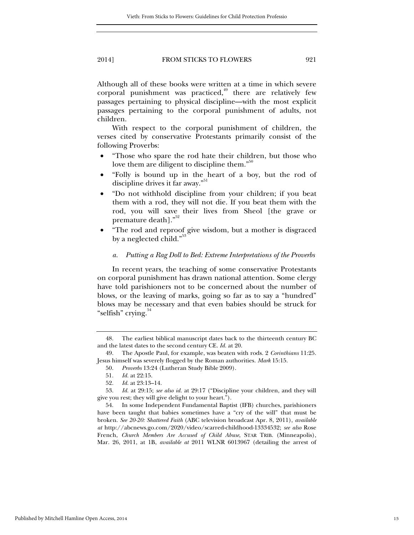Although all of these books were written at a time in which severe corporal punishment was practiced, $49$  there are relatively few passages pertaining to physical discipline—with the most explicit passages pertaining to the corporal punishment of adults, not children.

With respect to the corporal punishment of children, the verses cited by conservative Protestants primarily consist of the following Proverbs:

- "Those who spare the rod hate their children, but those who love them are diligent to discipline them. $\mathbf{r}^{50}$
- "Folly is bound up in the heart of a boy, but the rod of discipline drives it far away."<sup>51</sup>
- "Do not withhold discipline from your children; if you beat them with a rod, they will not die. If you beat them with the rod, you will save their lives from Sheol [the grave or premature death]."<sup>52</sup>
- "The rod and reproof give wisdom, but a mother is disgraced by a neglected child."<sup>53</sup>

#### *a. Putting a Rag Doll to Bed: Extreme Interpretations of the Proverbs*

In recent years, the teaching of some conservative Protestants on corporal punishment has drawn national attention. Some clergy have told parishioners not to be concerned about the number of blows, or the leaving of marks, going so far as to say a "hundred" blows may be necessary and that even babies should be struck for "selfish" crying.<sup>34</sup>

 <sup>48.</sup> The earliest biblical manuscript dates back to the thirteenth century BC and the latest dates to the second century CE. *Id.* at 20.

 <sup>49.</sup> The Apostle Paul, for example, was beaten with rods. 2 *Corinthians* 11:25. Jesus himself was severely flogged by the Roman authorities. *Mark* 15:15.

 <sup>50.</sup> *Proverbs* 13:24 (Lutheran Study Bible 2009).

 <sup>51.</sup> *Id.* at 22:15.

 <sup>52.</sup> *Id.* at 23:13–14.

 <sup>53.</sup> *Id.* at 29:15; *see also id.* at 29:17 ("Discipline your children, and they will give you rest; they will give delight to your heart.").

 <sup>54.</sup> In some Independent Fundamental Baptist (IFB) churches, parishioners have been taught that babies sometimes have a "cry of the will" that must be broken. *See 20-20: Shattered Faith* (ABC television broadcast Apr. 8, 2011), *available at* http://abcnews.go.com/2020/video/scarred-childhood-13334532; *see also* Rose French, *Church Members Are Accused of Child Abuse*, STAR TRIB. (Minneapolis), Mar. 26, 2011, at 1B, *available at* 2011 WLNR 6013967 (detailing the arrest of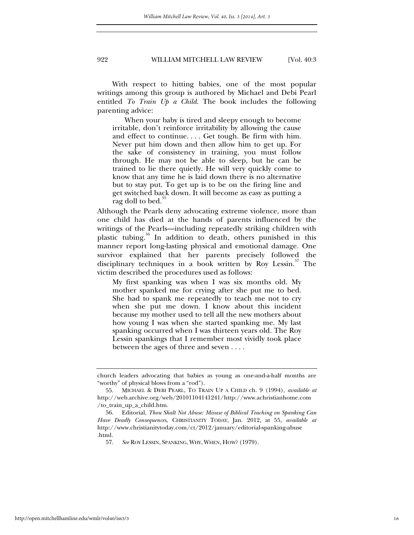With respect to hitting babies, one of the most popular writings among this group is authored by Michael and Debi Pearl entitled *To Train Up a Child*. The book includes the following parenting advice:

When your baby is tired and sleepy enough to become irritable, don't reinforce irritability by allowing the cause and effect to continue. . . . Get tough. Be firm with him. Never put him down and then allow him to get up. For the sake of consistency in training, you must follow through. He may not be able to sleep, but he can be trained to lie there quietly. He will very quickly come to know that any time he is laid down there is no alternative but to stay put. To get up is to be on the firing line and get switched back down. It will become as easy as putting a rag doll to bed.<sup>55</sup>

Although the Pearls deny advocating extreme violence, more than one child has died at the hands of parents influenced by the writings of the Pearls—including repeatedly striking children with plastic tubing.<sup>56</sup> In addition to death, others punished in this manner report long-lasting physical and emotional damage. One survivor explained that her parents precisely followed the disciplinary techniques in a book written by Roy Lessin.<sup>57</sup> The victim described the procedures used as follows:

My first spanking was when I was six months old. My mother spanked me for crying after she put me to bed. She had to spank me repeatedly to teach me not to cry when she put me down. I know about this incident because my mother used to tell all the new mothers about how young I was when she started spanking me. My last spanking occurred when I was thirteen years old. The Roy Lessin spankings that I remember most vividly took place between the ages of three and seven . . . .

church leaders advocating that babies as young as one-and-a-half months are "worthy" of physical blows from a "rod").

 <sup>55.</sup> MICHAEL & DEBI PEARL, TO TRAIN UP A CHILD ch. 9 (1994), *available at* http://web.archive.org/web/20101104141241/http://www.achristianhome.com /to\_train\_up\_a\_child.htm.

 <sup>56.</sup> Editorial, *Thou Shalt Not Abuse: Misuse of Biblical Teaching on Spanking Can Have Deadly Consequences*, CHRISTIANITY TODAY, Jan. 2012, at 55, *available at*  http://www.christianitytoday.com/ct/2012/january/editorial-spanking-abuse .html.

 <sup>57.</sup> *See* ROY LESSIN, SPANKING, WHY, WHEN, HOW? (1979).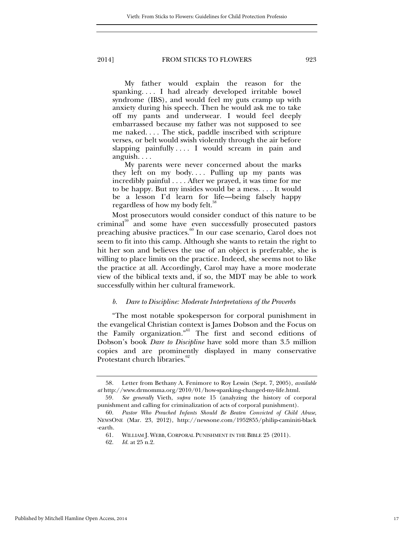My father would explain the reason for the spanking. . . . I had already developed irritable bowel syndrome (IBS), and would feel my guts cramp up with anxiety during his speech. Then he would ask me to take off my pants and underwear. I would feel deeply embarrassed because my father was not supposed to see me naked. . . . The stick, paddle inscribed with scripture verses, or belt would swish violently through the air before slapping painfully . . . . I would scream in pain and anguish. . . .

My parents were never concerned about the marks they left on my body.... Pulling up my pants was incredibly painful . . . . After we prayed, it was time for me to be happy. But my insides would be a mess. . . . It would be a lesson I'd learn for life—being falsely happy regardless of how my body felt.<sup>36</sup>

Most prosecutors would consider conduct of this nature to be criminal<sup>59</sup> and some have even successfully prosecuted pastors preaching abusive practices.<sup>60</sup> In our case scenario, Carol does not seem to fit into this camp. Although she wants to retain the right to hit her son and believes the use of an object is preferable, she is willing to place limits on the practice. Indeed, she seems not to like the practice at all. Accordingly, Carol may have a more moderate view of the biblical texts and, if so, the MDT may be able to work successfully within her cultural framework.

#### *b. Dare to Discipline: Moderate Interpretations of the Proverbs*

"The most notable spokesperson for corporal punishment in the evangelical Christian context is James Dobson and the Focus on the Family organization."61 The first and second editions of Dobson's book *Dare to Discipline* have sold more than 3.5 million copies and are prominently displayed in many conservative Protestant church libraries.<sup>62</sup>

 <sup>58.</sup> Letter from Bethany A. Fenimore to Roy Lessin (Sept. 7, 2005), *available at* http://www.drmomma.org/2010/01/how-spanking-changed-my-life.html.

<sup>59</sup>*. See generally* Vieth, *supra* note 15 (analyzing the history of corporal punishment and calling for criminalization of acts of corporal punishment).

 <sup>60.</sup> *Pastor Who Preached Infants Should Be Beaten Convicted of Child Abuse*, NEWSONE (Mar. 23, 2012), http://newsone.com/1952855/philip-caminiti-black -earth.

 <sup>61.</sup> WILLIAM J. WEBB, CORPORAL PUNISHMENT IN THE BIBLE 25 (2011).

 <sup>62.</sup> *Id.* at 25 n.2.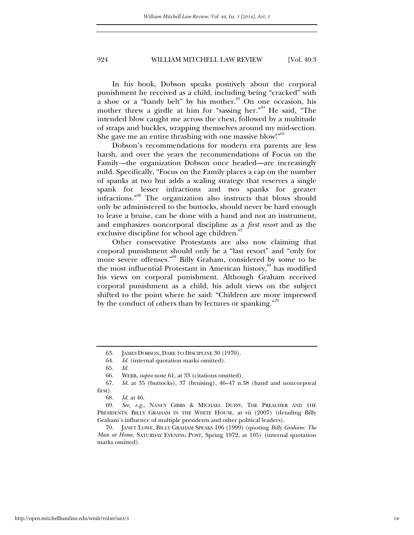In his book, Dobson speaks positively about the corporal punishment he received as a child, including being "cracked" with a shoe or a "handy belt" by his mother.<sup>63</sup> On one occasion, his mother threw a girdle at him for "sassing her."64 He said, "The intended blow caught me across the chest, followed by a multitude of straps and buckles, wrapping themselves around my mid-section. She gave me an entire thrashing with one massive blow!"<sup>65</sup>

Dobson's recommendations for modern era parents are less harsh, and over the years the recommendations of Focus on the Family*—*the organization Dobson once headed—are increasingly mild. Specifically, "Focus on the Family places a cap on the number of spanks at two but adds a scaling strategy that reserves a single spank for lesser infractions and two spanks for greater infractions."66 The organization also instructs that blows should only be administered to the buttocks, should never be hard enough to leave a bruise, can be done with a hand and not an instrument, and emphasizes noncorporal discipline as a *first resort* and as the exclusive discipline for school age children.<sup>6</sup>

Other conservative Protestants are also now claiming that corporal punishment should only be a "last resort" and "only for more severe offenses."<sup>68</sup> Billy Graham, considered by some to be the most influential Protestant in American history, $69$  has modified his views on corporal punishment. Although Graham received corporal punishment as a child, his adult views on the subject shifted to the point where he said: "Children are more impressed by the conduct of others than by lectures or spanking. $\mathbf{r}^{\prime\prime\prime}$ 

 <sup>63.</sup> JAMES DOBSON, DARE TO DISCIPLINE 30 (1970).

 <sup>64.</sup> *Id.* (internal quotation marks omitted).

 <sup>65.</sup> *Id.* 

 <sup>66.</sup> WEBB, *supra* note 61, at 33 (citations omitted).

 <sup>67.</sup> *Id.* at 35 (buttocks), 37 (bruising), 46–47 n.38 (hand and noncorporal first).

 <sup>68.</sup> *Id.* at 46.

 <sup>69.</sup> *See, e.g.*, NANCY GIBBS & MICHAEL DUFFY, THE PREACHER AND THE PRESIDENTS: BILLY GRAHAM IN THE WHITE HOUSE, at vii (2007) (detailing Billy Graham's influence of multiple presidents and other political leaders).

 <sup>70.</sup> JANET LOWE, BILLY GRAHAM SPEAKS 106 (1999) (quoting *Billy Graham: The Man at Home*, SATURDAY EVENING POST, Spring 1972, at 105) (internal quotation marks omitted).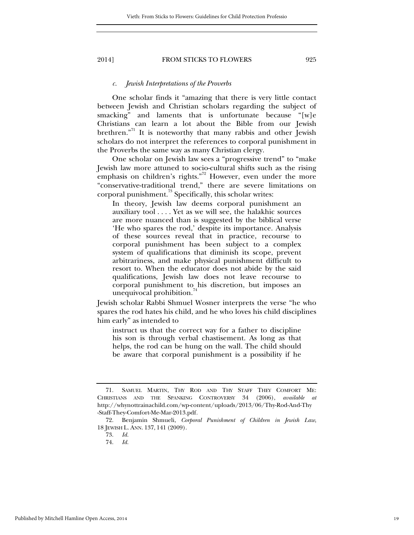# *c. Jewish Interpretations of the Proverbs*

One scholar finds it "amazing that there is very little contact between Jewish and Christian scholars regarding the subject of smacking" and laments that is unfortunate because "[w]e Christians can learn a lot about the Bible from our Jewish brethren."<sup>71</sup> It is noteworthy that many rabbis and other Jewish scholars do not interpret the references to corporal punishment in the Proverbs the same way as many Christian clergy.

One scholar on Jewish law sees a "progressive trend" to "make Jewish law more attuned to socio-cultural shifts such as the rising emphasis on children's rights."<sup>72</sup> However, even under the more "conservative-traditional trend," there are severe limitations on corporal punishment.<sup>73</sup> Specifically, this scholar writes:

In theory, Jewish law deems corporal punishment an auxiliary tool . . . . Yet as we will see, the halakhic sources are more nuanced than is suggested by the biblical verse 'He who spares the rod,' despite its importance. Analysis of these sources reveal that in practice, recourse to corporal punishment has been subject to a complex system of qualifications that diminish its scope, prevent arbitrariness, and make physical punishment difficult to resort to. When the educator does not abide by the said qualifications, Jewish law does not leave recourse to corporal punishment to his discretion, but imposes an unequivocal prohibition.

Jewish scholar Rabbi Shmuel Wosner interprets the verse "he who spares the rod hates his child, and he who loves his child disciplines him early" as intended to

instruct us that the correct way for a father to discipline his son is through verbal chastisement. As long as that helps, the rod can be hung on the wall. The child should be aware that corporal punishment is a possibility if he

 <sup>71.</sup> SAMUEL MARTIN, THY ROD AND THY STAFF THEY COMFORT ME: CHRISTIANS AND THE SPANKING CONTROVERSY 34 (2006), *available at*  http://whynottrainachild.com/wp-content/uploads/2013/06/Thy-Rod-And-Thy -Staff-They-Comfort-Me-Mar-2013.pdf*.*

 <sup>72.</sup> Benjamin Shmueli, *Corporal Punishment of Children in Jewish Law*, 18 JEWISH L. ANN. 137, 141 (2009).

 <sup>73.</sup> *Id.*

 <sup>74.</sup> *Id.*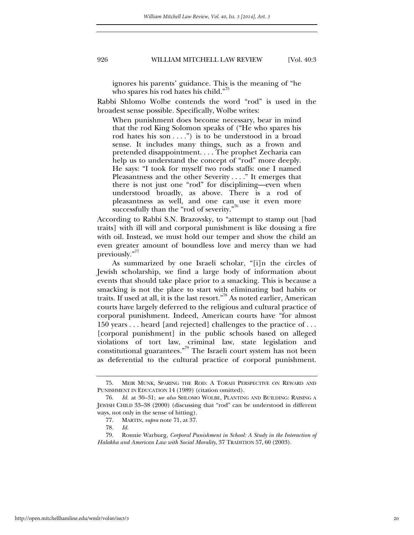ignores his parents' guidance. This is the meaning of "he who spares his rod hates his child."<sup>35</sup>

Rabbi Shlomo Wolbe contends the word "rod" is used in the broadest sense possible. Specifically, Wolbe writes:

When punishment does become necessary, bear in mind that the rod King Solomon speaks of ("He who spares his rod hates his son  $\dots$ ") is to be understood in a broad sense. It includes many things, such as a frown and pretended disappointment. . . . The prophet Zecharia can help us to understand the concept of "rod" more deeply. He says: "I took for myself two rods staffs: one I named Pleasantness and the other Severity . . . ." It emerges that there is not just one "rod" for disciplining—even when understood broadly, as above. There is a rod of pleasantness as well, and one can use it even more successfully than the "rod of severity."<sup>76</sup>

According to Rabbi S.N. Brazovsky, to "attempt to stamp out [bad traits] with ill will and corporal punishment is like dousing a fire with oil. Instead, we must hold our temper and show the child an even greater amount of boundless love and mercy than we had previously."

As summarized by one Israeli scholar, "[i]n the circles of Jewish scholarship, we find a large body of information about events that should take place prior to a smacking. This is because a smacking is not the place to start with eliminating bad habits or traits. If used at all, it is the last resort."78 As noted earlier, American courts have largely deferred to the religious and cultural practice of corporal punishment. Indeed, American courts have "for almost 150 years . . . heard [and rejected] challenges to the practice of . . . [corporal punishment] in the public schools based on alleged violations of tort law, criminal law, state legislation and constitutional guarantees."<sup>79</sup> The Israeli court system has not been as deferential to the cultural practice of corporal punishment.

 <sup>75.</sup> MEIR MUNK, SPARING THE ROD: A TORAH PERSPECTIVE ON REWARD AND PUNISHMENT IN EDUCATION 14 (1989) (citation omitted).

 <sup>76.</sup> *Id.* at 30–31; *see also* SHLOMO WOLBE, PLANTING AND BUILDING: RAISING A JEWISH CHILD 33–38 (2000) (discussing that "rod" can be understood in different ways, not only in the sense of hitting).

 <sup>77.</sup> MARTIN, *supra* note 71, at 37.

 <sup>78.</sup> *Id.*

 <sup>79.</sup> Ronnie Warburg, *Corporal Punishment in School: A Study in the Interaction of Halakha and American Law with Social Morality*, 37 TRADITION 57, 60 (2003).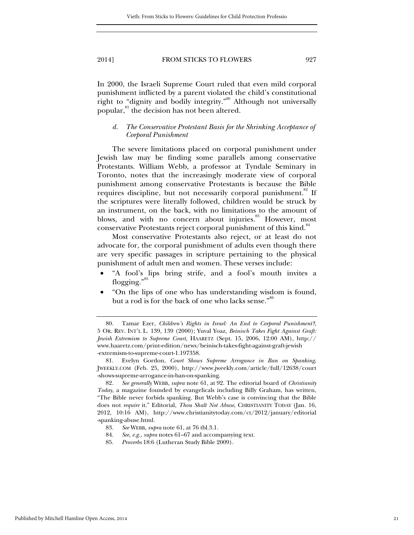In 2000, the Israeli Supreme Court ruled that even mild corporal punishment inflicted by a parent violated the child's constitutional right to "dignity and bodily integrity."<sup>80</sup> Although not universally popular,<sup>81</sup> the decision has not been altered.

# *d. The Conservative Protestant Basis for the Shrinking Acceptance of Corporal Punishment*

The severe limitations placed on corporal punishment under Jewish law may be finding some parallels among conservative Protestants. William Webb, a professor at Tyndale Seminary in Toronto, notes that the increasingly moderate view of corporal punishment among conservative Protestants is because the Bible requires discipline, but not necessarily corporal punishment.<sup>82</sup> If the scriptures were literally followed, children would be struck by an instrument, on the back, with no limitations to the amount of blows, and with no concern about injuries.<sup>83</sup> However, most conservative Protestants reject corporal punishment of this kind.<sup>84</sup>

Most conservative Protestants also reject, or at least do not advocate for, the corporal punishment of adults even though there are very specific passages in scripture pertaining to the physical punishment of adult men and women. These verses include:

- "A fool's lips bring strife, and a fool's mouth invites a flogging."<sup>85</sup>
- "On the lips of one who has understanding wisdom is found, but a rod is for the back of one who lacks sense."<sup>86</sup>

 <sup>80.</sup> Tamar Ezer, *Children's Rights in Israel: An End to Corporal Punishment?*, 5 OR. REV. INT'L L. 139, 139 (2000); Yuval Yoaz, *Beinisch Takes Fight Against Graft: Jewish Extremism to Supreme Court*, HAARETZ (Sept. 15, 2006, 12:00 AM), http:// www.haaretz.com/print-edition/news/beinisch-takes-fight-against-graft-jewish -extremism-to-supreme-court-1.197358.

 <sup>81.</sup> Evelyn Gordon, *Court Shows Supreme Arrogance in Ban on Spanking*, JWEEKLY.COM (Feb. 25, 2000), http://www.jweekly.com/article/full/12638/court -shows-supreme-arrogance-in-ban-on-spanking.

 <sup>82.</sup> *See generally* WEBB, *supra* note 61, at 92. The editorial board of *Christianity Today*, a magazine founded by evangelicals including Billy Graham, has written, "The Bible never forbids spanking. But Webb's case is convincing that the Bible does not *require* it." Editorial, *Thou Shalt Not Abuse*, CHRISTIANITY TODAY (Jan. 16, 2012, 10:16 AM), http://www.christianitytoday.com/ct/2012/january/editorial -spanking-abuse.html.

 <sup>83.</sup> *See* WEBB, *supra* note 61, at 76 tbl.3.1.

 <sup>84.</sup> *See, e.g.*, *supra* notes 61–67 and accompanying text.

 <sup>85.</sup> *Proverbs* 18:6 (Lutheran Study Bible 2009).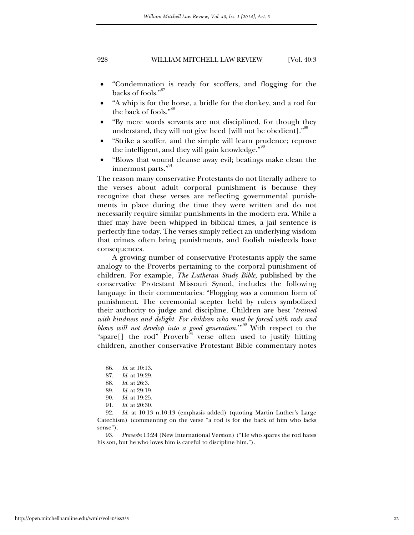- "Condemnation is ready for scoffers, and flogging for the backs of fools."<sup>87</sup>
- "A whip is for the horse, a bridle for the donkey, and a rod for the back of fools."<sup>88</sup>
- "By mere words servants are not disciplined, for though they understand, they will not give heed [will not be obedient]."<sup>89</sup>
- "Strike a scoffer, and the simple will learn prudence; reprove the intelligent, and they will gain knowledge."
- "Blows that wound cleanse away evil; beatings make clean the innermost parts."<sup>91</sup>

The reason many conservative Protestants do not literally adhere to the verses about adult corporal punishment is because they recognize that these verses are reflecting governmental punishments in place during the time they were written and do not necessarily require similar punishments in the modern era. While a thief may have been whipped in biblical times, a jail sentence is perfectly fine today. The verses simply reflect an underlying wisdom that crimes often bring punishments, and foolish misdeeds have consequences.

A growing number of conservative Protestants apply the same analogy to the Proverbs pertaining to the corporal punishment of children. For example, *The Lutheran Study Bible*, published by the conservative Protestant Missouri Synod, includes the following language in their commentaries: "Flogging was a common form of punishment. The ceremonial scepter held by rulers symbolized their authority to judge and discipline. Children are best '*trained with kindness and delight. For children who must be forced with rods and blows will not develop into a good generation*.'"92 With respect to the "spare[] the rod" Proverb<sup>93</sup> verse often used to justify hitting children, another conservative Protestant Bible commentary notes

 93. *Proverbs* 13:24 (New International Version) ("He who spares the rod hates his son, but he who loves him is careful to discipline him.").

 <sup>86.</sup> *Id*. at 10:13.

 <sup>87.</sup> *Id.* at 19:29.

 <sup>88.</sup> *Id.* at 26:3.

 <sup>89.</sup> *Id.* at 29:19.

 <sup>90.</sup> *Id.* at 19:25.

 <sup>91.</sup> *Id.* at 20:30.

 <sup>92.</sup> *Id.* at 10:13 n.10:13 (emphasis added) (quoting Martin Luther's Large Catechism) (commenting on the verse "a rod is for the back of him who lacks sense").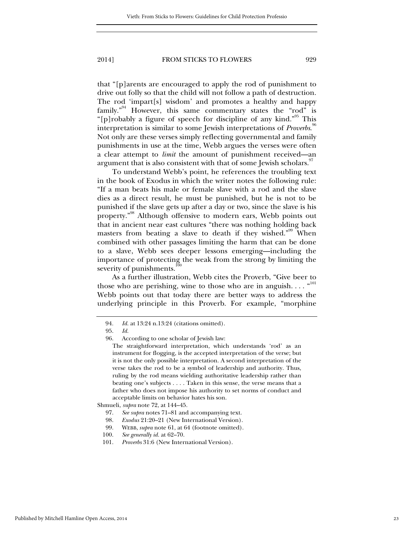that "[p]arents are encouraged to apply the rod of punishment to drive out folly so that the child will not follow a path of destruction. The rod 'impart[s] wisdom' and promotes a healthy and happy family."<sup>94</sup> However, this same commentary states the "rod" is "[p]robably a figure of speech for discipline of any kind."<sup>95</sup> This interpretation is similar to some Jewish interpretations of *Proverbs*. 96 Not only are these verses simply reflecting governmental and family punishments in use at the time, Webb argues the verses were often a clear attempt to *limit* the amount of punishment received—an argument that is also consistent with that of some Jewish scholars.<sup>97</sup>

To understand Webb's point, he references the troubling text in the book of Exodus in which the writer notes the following rule: "If a man beats his male or female slave with a rod and the slave dies as a direct result, he must be punished, but he is not to be punished if the slave gets up after a day or two, since the slave is his property."98 Although offensive to modern ears, Webb points out that in ancient near east cultures "there was nothing holding back masters from beating a slave to death if they wished."<sup>99</sup> When combined with other passages limiting the harm that can be done to a slave, Webb sees deeper lessons emerging—including the importance of protecting the weak from the strong by limiting the severity of punishments.<sup>100</sup>

As a further illustration, Webb cites the Proverb, "Give beer to those who are perishing, wine to those who are in anguish.... $^{\text{401}}$ Webb points out that today there are better ways to address the underlying principle in this Proverb. For example, "morphine

Shmueli, *supra* note 72, at 144–45.

- 97. *See supra* notes 71–81 and accompanying text.
- 98. *Exodus* 21:20–21 (New International Version).
- 99. WEBB, *supra* note 61, at 64 (footnote omitted).
- 100. *See generally id.* at 62–70.
- 101. *Proverbs* 31:6 (New International Version).

<sup>94</sup>*. Id.* at 13:24 n.13:24 (citations omitted).

 <sup>95.</sup> *Id.*

 <sup>96.</sup> According to one scholar of Jewish law:

The straightforward interpretation, which understands 'rod' as an instrument for flogging, is the accepted interpretation of the verse; but it is not the only possible interpretation. A second interpretation of the verse takes the rod to be a symbol of leadership and authority. Thus, ruling by the rod means wielding authoritative leadership rather than beating one's subjects . . . . Taken in this sense, the verse means that a father who does not impose his authority to set norms of conduct and acceptable limits on behavior hates his son.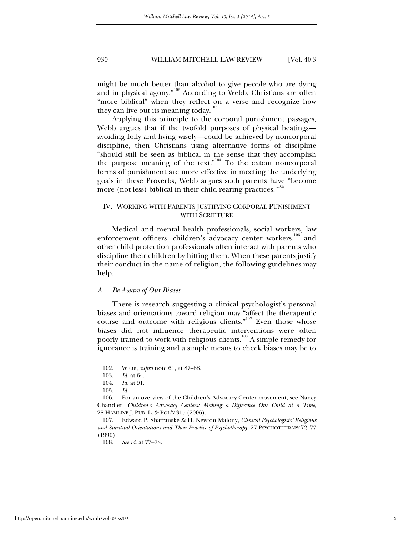might be much better than alcohol to give people who are dying and in physical agony."102 According to Webb, Christians are often "more biblical" when they reflect on a verse and recognize how they can live out its meaning today.<sup>103</sup>

Applying this principle to the corporal punishment passages, Webb argues that if the twofold purposes of physical beatings avoiding folly and living wisely—could be achieved by noncorporal discipline, then Christians using alternative forms of discipline "should still be seen as biblical in the sense that they accomplish the purpose meaning of the text."<sup>104</sup> To the extent noncorporal forms of punishment are more effective in meeting the underlying goals in these Proverbs, Webb argues such parents have "become more (not less) biblical in their child rearing practices."<sup>105</sup>

# IV. WORKING WITH PARENTS JUSTIFYING CORPORAL PUNISHMENT WITH SCRIPTURE

Medical and mental health professionals, social workers, law enforcement officers, children's advocacy center workers,<sup>106</sup> and other child protection professionals often interact with parents who discipline their children by hitting them. When these parents justify their conduct in the name of religion, the following guidelines may help.

#### *A. Be Aware of Our Biases*

There is research suggesting a clinical psychologist's personal biases and orientations toward religion may "affect the therapeutic course and outcome with religious clients."<sup>107</sup> Even those whose biases did not influence therapeutic interventions were often poorly trained to work with religious clients.<sup>108</sup> A simple remedy for ignorance is training and a simple means to check biases may be to

 <sup>102.</sup> WEBB, *supra* note 61, at 87–88.

 <sup>103.</sup> *Id.* at 64.

 <sup>104.</sup> *Id.* at 91.

 <sup>105.</sup> *Id.*

 <sup>106.</sup> For an overview of the Children's Advocacy Center movement, see Nancy Chandler, *Children's Advocacy Centers: Making a Difference One Child at a Time*, 28 HAMLINE J. PUB. L. & POL'Y 315 (2006).

 <sup>107.</sup> Edward P. Shafranske & H. Newton Malony, *Clinical Psychologists' Religious and Spiritual Orientations and Their Practice of Psychotherapy*, 27 PSYCHOTHERAPY 72, 77 (1990).

 <sup>108.</sup> *See id.* at 77–78.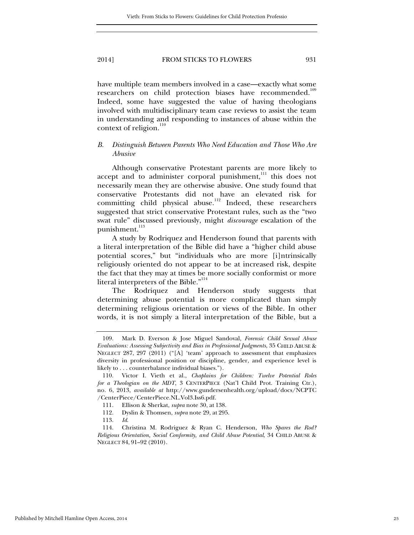have multiple team members involved in a case—exactly what some researchers on child protection biases have recommended.<sup>109</sup> Indeed, some have suggested the value of having theologians involved with multidisciplinary team case reviews to assist the team in understanding and responding to instances of abuse within the context of religion.<sup>110</sup>

# *B. Distinguish Between Parents Who Need Education and Those Who Are Abusive*

Although conservative Protestant parents are more likely to accept and to administer corporal punishment,<sup>111</sup> this does not necessarily mean they are otherwise abusive. One study found that conservative Protestants did not have an elevated risk for committing child physical abuse.<sup>112</sup> Indeed, these researchers suggested that strict conservative Protestant rules, such as the "two swat rule" discussed previously, might *discourage* escalation of the punishment.<sup>113</sup>

A study by Rodriquez and Henderson found that parents with a literal interpretation of the Bible did have a "higher child abuse potential scores," but "individuals who are more [i]ntrinsically religiously oriented do not appear to be at increased risk, despite the fact that they may at times be more socially conformist or more literal interpreters of the Bible."<sup>114</sup>

The Rodriquez and Henderson study suggests that determining abuse potential is more complicated than simply determining religious orientation or views of the Bible. In other words, it is not simply a literal interpretation of the Bible, but a

112. Dyslin & Thomsen, *supra* note 29, at 295.

 <sup>109.</sup> Mark D. Everson & Jose Miguel Sandoval, *Forensic Child Sexual Abuse Evaluations: Assessing Subjectivity and Bias in Professional Judgments*, 35 CHILD ABUSE & NEGLECT 287, 297 (2011) ("[A] 'team' approach to assessment that emphasizes diversity in professional position or discipline, gender, and experience level is likely to . . . counterbalance individual biases.").

 <sup>110.</sup> Victor I. Vieth et al., *Chaplains for Children: Twelve Potential Roles for a Theologian on the MDT*, 3 CENTERPIECE (Nat'l Child Prot. Training Ctr.), no. 6, 2013, *available at* http://www.gundersenhealth.org/upload/docs/NCPTC /CenterPiece/CenterPiece.NL.Vol3.Iss6.pdf.

 <sup>111.</sup> Ellison & Sherkat, *supra* note 30, at 138.

 <sup>113.</sup> *Id*.

 <sup>114.</sup> Christina M. Rodriguez & Ryan C. Henderson, *Who Spares the Rod? Religious Orientation, Social Conformity, and Child Abuse Potential*, 34 CHILD ABUSE & NEGLECT 84, 91–92 (2010).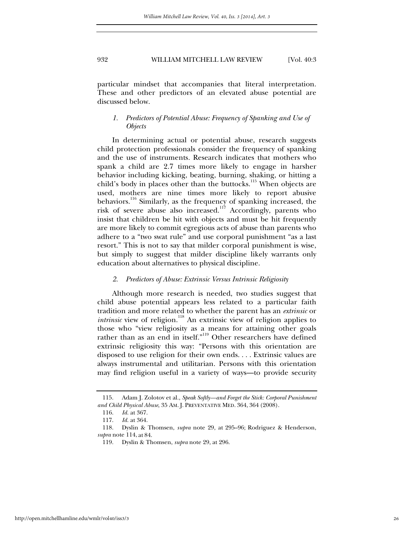particular mindset that accompanies that literal interpretation. These and other predictors of an elevated abuse potential are discussed below.

# *1. Predictors of Potential Abuse: Frequency of Spanking and Use of Objects*

In determining actual or potential abuse, research suggests child protection professionals consider the frequency of spanking and the use of instruments. Research indicates that mothers who spank a child are 2.7 times more likely to engage in harsher behavior including kicking, beating, burning, shaking, or hitting a child's body in places other than the buttocks.<sup>115</sup> When objects are used, mothers are nine times more likely to report abusive behaviors.<sup>116</sup> Similarly, as the frequency of spanking increased, the risk of severe abuse also increased.117 Accordingly, parents who insist that children be hit with objects and must be hit frequently are more likely to commit egregious acts of abuse than parents who adhere to a "two swat rule" and use corporal punishment "as a last resort." This is not to say that milder corporal punishment is wise, but simply to suggest that milder discipline likely warrants only education about alternatives to physical discipline.

#### *2. Predictors of Abuse: Extrinsic Versus Intrinsic Religiosity*

Although more research is needed, two studies suggest that child abuse potential appears less related to a particular faith tradition and more related to whether the parent has an *extrinsic* or *intrinsic* view of religion.<sup>118</sup> An extrinsic view of religion applies to those who "view religiosity as a means for attaining other goals rather than as an end in itself."119 Other researchers have defined extrinsic religiosity this way: "Persons with this orientation are disposed to use religion for their own ends. . . . Extrinsic values are always instrumental and utilitarian. Persons with this orientation may find religion useful in a variety of ways—to provide security

 <sup>115.</sup> Adam J. Zolotov et al., *Speak Softly—and Forget the Stick: Corporal Punishment and Child Physical Abuse*, 35 AM. J. PREVENTATIVE MED. 364, 364 (2008).

 <sup>116.</sup> *Id.* at 367.

 <sup>117.</sup> *Id.* at 364.

 <sup>118.</sup> Dyslin & Thomsen, *supra* note 29, at 295–96; Rodriguez & Henderson, *supra* note 114, at 84.

 <sup>119.</sup> Dyslin & Thomsen, *supra* note 29, at 296.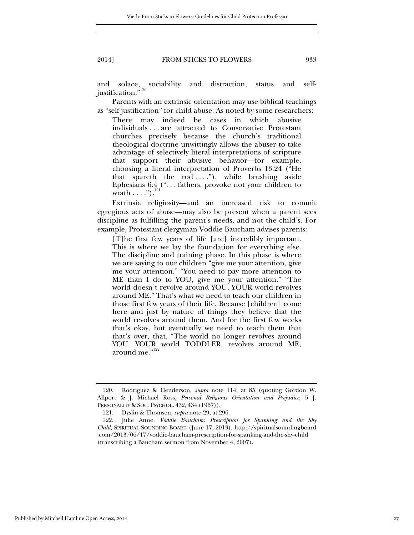and solace, sociability and distraction, status and selfjustification."<sup>120</sup>

Parents with an extrinsic orientation may use biblical teachings as "self-justification" for child abuse. As noted by some researchers:

There may indeed be cases in which abusive individuals . . . are attracted to Conservative Protestant churches precisely because the church's traditional theological doctrine unwittingly allows the abuser to take advantage of selectively literal interpretations of scripture that support their abusive behavior—for example, choosing a literal interpretation of Proverbs 13:24 ("He that spareth the rod  $\dots$ "), while brushing aside Ephesians  $6:4$  ("... fathers, provoke not your children to wrath  $\dots$ .").<sup>121</sup>

Extrinsic religiosity—and an increased risk to commit egregious acts of abuse—may also be present when a parent sees discipline as fulfilling the parent's needs, and not the child's. For example, Protestant clergyman Voddie Baucham advises parents:

[T]he first few years of life [are] incredibly important. This is where we lay the foundation for everything else. The discipline and training phase. In this phase is where we are saying to our children "give me your attention, give me your attention." "You need to pay more attention to ME than I do to YOU, give me your attention." "The world doesn't revolve around YOU, YOUR world revolves around ME." That's what we need to teach our children in those first few years of their life. Because [children] come here and just by nature of things they believe that the world revolves around them. And for the first few weeks that's okay, but eventually we need to teach them that that's over, that, "The world no longer revolves around YOU. YOUR world TODDLER, revolves around ME, around me."<sup>122</sup>

 <sup>120.</sup> Rodriguez & Henderson, *supra* note 114, at 85 (quoting Gordon W. Allport & J. Michael Ross, *Personal Religious Orientation and Prejudice*, 5 J. PERSONALITY & SOC. PSYCHOL. 432, 434 (1967)).

 <sup>121.</sup> Dyslin & Thomsen, *supra* note 29, at 296.

 <sup>122.</sup> Julie Anne, *Voddie Baucham: Prescription for Spanking and the Shy Child*, SPIRITUAL SOUNDING BOARD (June 17, 2013), http://spiritualsoundingboard .com/2013/06/17/voddie-baucham-prescription-for-spanking-and-the-shy-child (transcribing a Baucham sermon from November 4, 2007).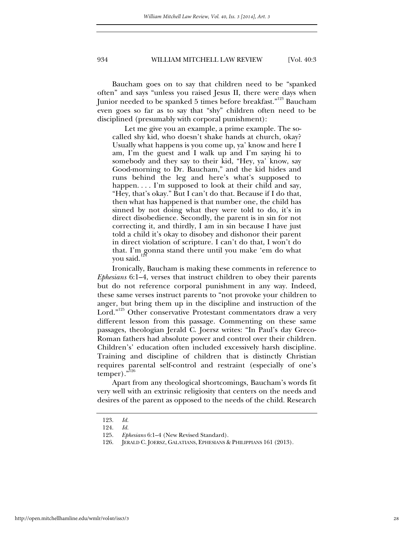Baucham goes on to say that children need to be "spanked often" and says "unless you raised Jesus II, there were days when Junior needed to be spanked 5 times before breakfast."<sup>123</sup> Baucham even goes so far as to say that "shy" children often need to be disciplined (presumably with corporal punishment):

Let me give you an example, a prime example. The socalled shy kid, who doesn't shake hands at church, okay? Usually what happens is you come up, ya' know and here I am, I'm the guest and I walk up and I'm saying hi to somebody and they say to their kid, "Hey, ya' know, say Good-morning to Dr. Baucham," and the kid hides and runs behind the leg and here's what's supposed to happen. . . . I'm supposed to look at their child and say, "Hey, that's okay." But I can't do that. Because if I do that, then what has happened is that number one, the child has sinned by not doing what they were told to do, it's in direct disobedience. Secondly, the parent is in sin for not correcting it, and thirdly, I am in sin because I have just told a child it's okay to disobey and dishonor their parent in direct violation of scripture. I can't do that, I won't do that. I'm gonna stand there until you make 'em do what you said.<sup>1</sup>

Ironically, Baucham is making these comments in reference to *Ephesians* 6:1–4, verses that instruct children to obey their parents but do not reference corporal punishment in any way. Indeed, these same verses instruct parents to "not provoke your children to anger, but bring them up in the discipline and instruction of the Lord."<sup>125</sup> Other conservative Protestant commentators draw a very different lesson from this passage. Commenting on these same passages, theologian Jerald C. Joersz writes: "In Paul's day Greco-Roman fathers had absolute power and control over their children. Children's' education often included excessively harsh discipline. Training and discipline of children that is distinctly Christian requires parental self-control and restraint (especially of one's temper)."<sup>126</sup>

Apart from any theological shortcomings, Baucham's words fit very well with an extrinsic religiosity that centers on the needs and desires of the parent as opposed to the needs of the child. Research

 <sup>123.</sup> *Id.*

 <sup>124.</sup> *Id.*

 <sup>125.</sup> *Ephesians* 6:1–4 (New Revised Standard).

 <sup>126.</sup> JERALD C. JOERSZ, GALATIANS, EPHESIANS & PHILIPPIANS 161 (2013).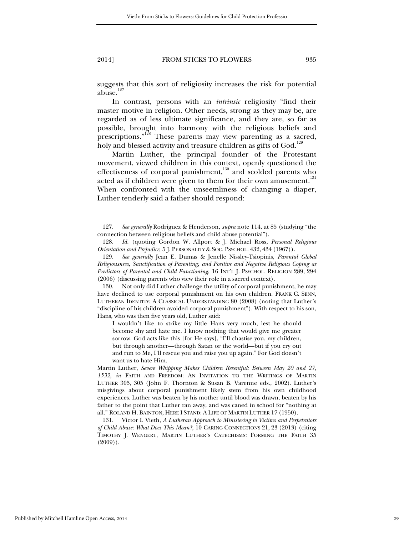suggests that this sort of religiosity increases the risk for potential abuse. $127$ 

In contrast, persons with an *intrinsic* religiosity "find their master motive in religion. Other needs, strong as they may be, are regarded as of less ultimate significance, and they are, so far as possible, brought into harmony with the religious beliefs and prescriptions."<sup>128</sup> These parents may view parenting as a sacred, holy and blessed activity and treasure children as gifts of God.<sup>129</sup>

Martin Luther, the principal founder of the Protestant movement, viewed children in this context, openly questioned the effectiveness of corporal punishment, $130$  and scolded parents who acted as if children were given to them for their own amusement.<sup>131</sup> When confronted with the unseemliness of changing a diaper, Luther tenderly said a father should respond:

 <sup>127.</sup> *See generally* Rodriguez & Henderson, *supra* note 114, at 85 (studying "the connection between religious beliefs and child abuse potential").

 <sup>128.</sup> *Id.* (quoting Gordon W. Allport & J. Michael Ross, *Personal Religious Orientation and Prejudice*, 5 J. PERSONALITY & SOC. PSYCHOL. 432, 434 (1967)).

 <sup>129.</sup> *See generally* Jean E. Dumas & Jenelle Nissley-Tsiopinis, *Parental Global Religiousness, Sanctification of Parenting, and Positive and Negative Religious Coping as Predictors of Parental and Child Functioning*, 16 INT'L J. PSYCHOL. RELIGION 289, 294 (2006) (discussing parents who view their role in a sacred context).

 <sup>130.</sup> Not only did Luther challenge the utility of corporal punishment, he may have declined to use corporal punishment on his own children. FRANK C. SENN, LUTHERAN IDENTITY: A CLASSICAL UNDERSTANDING 80 (2008) (noting that Luther's "discipline of his children avoided corporal punishment"). With respect to his son, Hans, who was then five years old, Luther said:

I wouldn't like to strike my little Hans very much, lest he should become shy and hate me. I know nothing that would give me greater sorrow. God acts like this [for He says], "I'll chastise you, my children, but through another—through Satan or the world—but if you cry out and run to Me, I'll rescue you and raise you up again." For God doesn't want us to hate Him.

Martin Luther, *Severe Whipping Makes Children Resentful: Between May 20 and 27, 1532*, *in* FAITH AND FREEDOM: AN INVITATION TO THE WRITINGS OF MARTIN LUTHER 305, 305 (John F. Thornton & Susan B. Varenne eds., 2002). Luther's misgivings about corporal punishment likely stem from his own childhood experiences. Luther was beaten by his mother until blood was drawn, beaten by his father to the point that Luther ran away, and was caned in school for "nothing at all." ROLAND H. BAINTON, HERE I STAND: A LIFE OF MARTIN LUTHER 17 (1950).

 <sup>131.</sup> Victor I. Vieth, *A Lutheran Approach to Ministering to Victims and Perpetrators of Child Abuse: What Does This Mean?*, 10 CARING CONNECTIONS 21, 23 (2013) (citing TIMOTHY J. WENGERT, MARTIN LUTHER'S CATECHISMS: FORMING THE FAITH 35 (2009)).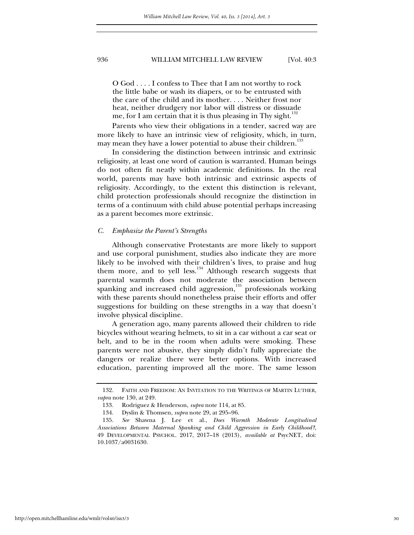O God . . . . I confess to Thee that I am not worthy to rock the little babe or wash its diapers, or to be entrusted with the care of the child and its mother. . . . Neither frost nor heat, neither drudgery nor labor will distress or dissuade me, for I am certain that it is thus pleasing in Thy sight.<sup>132</sup>

Parents who view their obligations in a tender, sacred way are more likely to have an intrinsic view of religiosity, which, in turn, may mean they have a lower potential to abuse their children.<sup>133</sup>

In considering the distinction between intrinsic and extrinsic religiosity, at least one word of caution is warranted. Human beings do not often fit neatly within academic definitions. In the real world, parents may have both intrinsic and extrinsic aspects of religiosity. Accordingly, to the extent this distinction is relevant, child protection professionals should recognize the distinction in terms of a continuum with child abuse potential perhaps increasing as a parent becomes more extrinsic.

#### *C. Emphasize the Parent's Strengths*

Although conservative Protestants are more likely to support and use corporal punishment, studies also indicate they are more likely to be involved with their children's lives, to praise and hug them more, and to yell less.<sup>134</sup> Although research suggests that parental warmth does not moderate the association between spanking and increased child aggression,<sup>135</sup> professionals working with these parents should nonetheless praise their efforts and offer suggestions for building on these strengths in a way that doesn't involve physical discipline.

A generation ago, many parents allowed their children to ride bicycles without wearing helmets, to sit in a car without a car seat or belt, and to be in the room when adults were smoking. These parents were not abusive, they simply didn't fully appreciate the dangers or realize there were better options. With increased education, parenting improved all the more. The same lesson

http://open.mitchellhamline.edu/wmlr/vol40/iss3/3

 <sup>132.</sup> FAITH AND FREEDOM: AN INVITATION TO THE WRITINGS OF MARTIN LUTHER, *supra* note 130, at 249.

<sup>133</sup>*.* Rodriguez & Henderson, *supra* note 114, at 85.

 <sup>134.</sup> Dyslin & Thomsen, *supra* note 29, at 295–96.

 <sup>135.</sup> *See* Shawna J. Lee et al., *Does Warmth Moderate Longitudinal Associations Between Maternal Spanking and Child Aggression in Early Childhood?*, 49 DEVELOPMENTAL PSYCHOL. 2017, 2017–18 (2013), *available at* PsycNET, doi: 10.1037/a0031630.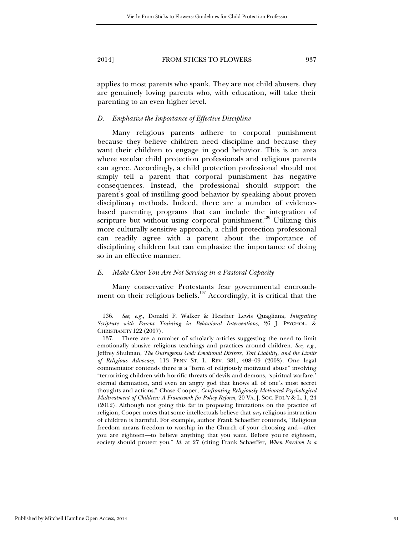applies to most parents who spank. They are not child abusers, they are genuinely loving parents who, with education, will take their parenting to an even higher level.

## *D. Emphasize the Importance of Effective Discipline*

Many religious parents adhere to corporal punishment because they believe children need discipline and because they want their children to engage in good behavior. This is an area where secular child protection professionals and religious parents can agree. Accordingly, a child protection professional should not simply tell a parent that corporal punishment has negative consequences. Instead, the professional should support the parent's goal of instilling good behavior by speaking about proven disciplinary methods. Indeed, there are a number of evidencebased parenting programs that can include the integration of scripture but without using corporal punishment.<sup>136</sup> Utilizing this more culturally sensitive approach, a child protection professional can readily agree with a parent about the importance of disciplining children but can emphasize the importance of doing so in an effective manner.

#### *E. Make Clear You Are Not Serving in a Pastoral Capacity*

Many conservative Protestants fear governmental encroachment on their religious beliefs.<sup>137</sup> Accordingly, it is critical that the

 <sup>136.</sup> *See, e.g.*, Donald F. Walker & Heather Lewis Quagliana, *Integrating Scripture with Parent Training in Behavioral Interventions*, 26 J. PSYCHOL. & CHRISTIANITY 122 (2007).

 <sup>137.</sup> There are a number of scholarly articles suggesting the need to limit emotionally abusive religious teachings and practices around children. *See, e.g.*, Jeffrey Shulman, *The Outrageous God: Emotional Distress, Tort Liability, and the Limits of Religious Advocacy*, 113 PENN ST. L. REV. 381, 408–09 (2008). One legal commentator contends there is a "form of religiously motivated abuse" involving "terrorizing children with horrific threats of devils and demons, 'spiritual warfare,' eternal damnation, and even an angry god that knows all of one's most secret thoughts and actions." Chase Cooper, *Confronting Religiously Motivated Psychological Maltreatment of Children: A Framework for Policy Reform*, 20 VA. J. SOC. POL'Y & L. 1, 24 (2012). Although not going this far in proposing limitations on the practice of religion, Cooper notes that some intellectuals believe that *any* religious instruction of children is harmful. For example, author Frank Schaeffer contends, "Religious freedom means freedom to worship in the Church of your choosing and—after you are eighteen—to believe anything that you want. Before you're eighteen, society should protect you." *Id.* at 27 (citing Frank Schaeffer, *When Freedom Is a*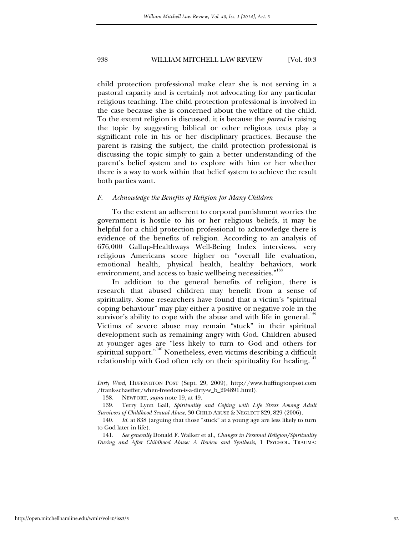child protection professional make clear she is not serving in a pastoral capacity and is certainly not advocating for any particular religious teaching. The child protection professional is involved in the case because she is concerned about the welfare of the child. To the extent religion is discussed, it is because the *parent* is raising the topic by suggesting biblical or other religious texts play a significant role in his or her disciplinary practices. Because the parent is raising the subject, the child protection professional is discussing the topic simply to gain a better understanding of the parent's belief system and to explore with him or her whether there is a way to work within that belief system to achieve the result both parties want.

#### *F. Acknowledge the Benefits of Religion for Many Children*

To the extent an adherent to corporal punishment worries the government is hostile to his or her religious beliefs, it may be helpful for a child protection professional to acknowledge there is evidence of the benefits of religion. According to an analysis of 676,000 Gallup-Healthways Well-Being Index interviews, very religious Americans score higher on "overall life evaluation, emotional health, physical health, healthy behaviors, work environment, and access to basic wellbeing necessities."<sup>138</sup>

In addition to the general benefits of religion, there is research that abused children may benefit from a sense of spirituality. Some researchers have found that a victim's "spiritual coping behaviour" may play either a positive or negative role in the survivor's ability to cope with the abuse and with life in general.<sup>139</sup> Victims of severe abuse may remain "stuck" in their spiritual development such as remaining angry with God. Children abused at younger ages are "less likely to turn to God and others for spiritual support."<sup>140</sup> Nonetheless, even victims describing a difficult relationship with God often rely on their spirituality for healing.<sup>141</sup>

*Dirty Word*, HUFFINGTON POST (Sept. 29, 2009), http://www.huffingtonpost.com /frank-schaeffer/when-freedom-is-a-dirty-w\_b\_294891.html).

 <sup>138.</sup> NEWPORT, *supra* note 19, at 49.

 <sup>139.</sup> Terry Lynn Gall, *Spirituality and Coping with Life Stress Among Adult Survivors of Childhood Sexual Abuse*, 30 CHILD ABUSE & NEGLECT 829, 829 (2006).

 <sup>140.</sup> *Id.* at 838 (arguing that those "stuck" at a young age are less likely to turn to God later in life).

 <sup>141.</sup> *See generally* Donald F. Walker et al., *Changes in Personal Religion/Spirituality During and After Childhood Abuse: A Review and Synthesis*, 1 PSYCHOL. TRAUMA: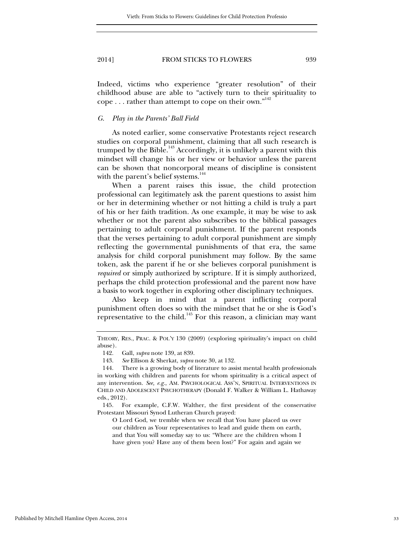Indeed, victims who experience "greater resolution" of their childhood abuse are able to "actively turn to their spirituality to cope . . . rather than attempt to cope on their own."<sup>142</sup>

#### *G. Play in the Parents' Ball Field*

As noted earlier, some conservative Protestants reject research studies on corporal punishment, claiming that all such research is trumped by the Bible.<sup>143</sup> Accordingly, it is unlikely a parent with this mindset will change his or her view or behavior unless the parent can be shown that noncorporal means of discipline is consistent with the parent's belief systems.<sup>144</sup>

When a parent raises this issue, the child protection professional can legitimately ask the parent questions to assist him or her in determining whether or not hitting a child is truly a part of his or her faith tradition. As one example, it may be wise to ask whether or not the parent also subscribes to the biblical passages pertaining to adult corporal punishment. If the parent responds that the verses pertaining to adult corporal punishment are simply reflecting the governmental punishments of that era, the same analysis for child corporal punishment may follow. By the same token, ask the parent if he or she believes corporal punishment is *required* or simply authorized by scripture. If it is simply authorized, perhaps the child protection professional and the parent now have a basis to work together in exploring other disciplinary techniques.

Also keep in mind that a parent inflicting corporal punishment often does so with the mindset that he or she is God's representative to the child.145 For this reason, a clinician may want

THEORY, RES., PRAC. & POL'Y 130 (2009) (exploring spirituality's impact on child abuse).

 <sup>142.</sup> Gall, *supra* note 139, at 839.

 <sup>143.</sup> *See* Ellison & Sherkat, *supra* note 30, at 132.

 <sup>144.</sup> There is a growing body of literature to assist mental health professionals in working with children and parents for whom spirituality is a critical aspect of any intervention. *See, e.g.*, AM. PSYCHOLOGICAL ASS'N, SPIRITUAL INTERVENTIONS IN CHILD AND ADOLESCENT PSYCHOTHERAPY (Donald F. Walker & William L. Hathaway eds., 2012).

 <sup>145.</sup> For example, C.F.W. Walther, the first president of the conservative Protestant Missouri Synod Lutheran Church prayed:

O Lord God, we tremble when we recall that You have placed us over our children as Your representatives to lead and guide them on earth, and that You will someday say to us: "Where are the children whom I have given you? Have any of them been lost?" For again and again we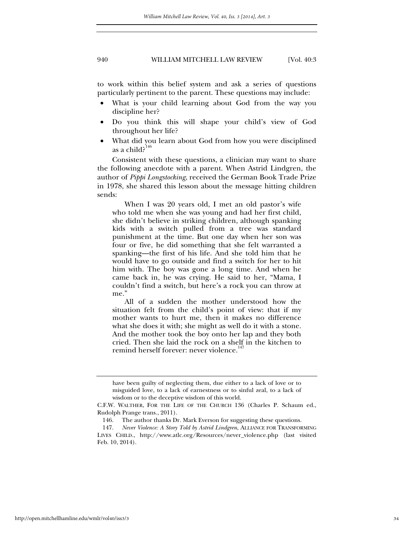to work within this belief system and ask a series of questions particularly pertinent to the parent. These questions may include:

- What is your child learning about God from the way you discipline her?
- Do you think this will shape your child's view of God throughout her life?
- What did you learn about God from how you were disciplined as a child? $146$

Consistent with these questions, a clinician may want to share the following anecdote with a parent. When Astrid Lindgren, the author of *Pippi Longstocking*, received the German Book Trade Prize in 1978, she shared this lesson about the message hitting children sends:

When I was 20 years old, I met an old pastor's wife who told me when she was young and had her first child, she didn't believe in striking children, although spanking kids with a switch pulled from a tree was standard punishment at the time. But one day when her son was four or five, he did something that she felt warranted a spanking—the first of his life. And she told him that he would have to go outside and find a switch for her to hit him with. The boy was gone a long time. And when he came back in, he was crying. He said to her, "Mama, I couldn't find a switch, but here's a rock you can throw at me."

All of a sudden the mother understood how the situation felt from the child's point of view: that if my mother wants to hurt me, then it makes no difference what she does it with; she might as well do it with a stone. And the mother took the boy onto her lap and they both cried. Then she laid the rock on a shelf in the kitchen to remind herself forever: never violence.<sup>147</sup>

have been guilty of neglecting them, due either to a lack of love or to misguided love, to a lack of earnestness or to sinful zeal, to a lack of wisdom or to the deceptive wisdom of this world.

C.F.W. WALTHER, FOR THE LIFE OF THE CHURCH 136 (Charles P. Schaum ed., Rudolph Prange trans., 2011).

 <sup>146.</sup> The author thanks Dr. Mark Everson for suggesting these questions.

 <sup>147.</sup> *Never Violence: A Story Told by Astrid Lindgren*, ALLIANCE FOR TRANSFORMING LIVES CHILD., http://www.atlc.org/Resources/never\_violence.php (last visited Feb. 10, 2014).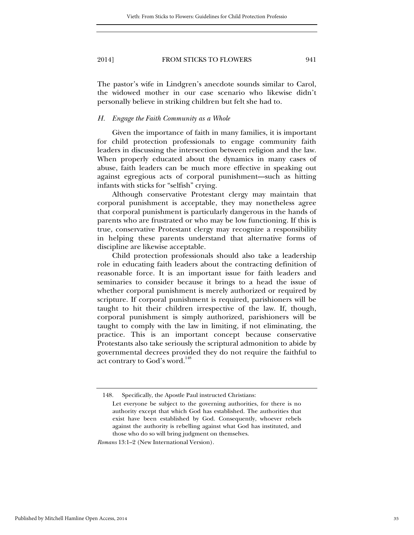The pastor's wife in Lindgren's anecdote sounds similar to Carol, the widowed mother in our case scenario who likewise didn't personally believe in striking children but felt she had to.

#### *H. Engage the Faith Community as a Whole*

Given the importance of faith in many families, it is important for child protection professionals to engage community faith leaders in discussing the intersection between religion and the law. When properly educated about the dynamics in many cases of abuse, faith leaders can be much more effective in speaking out against egregious acts of corporal punishment—such as hitting infants with sticks for "selfish" crying.

Although conservative Protestant clergy may maintain that corporal punishment is acceptable, they may nonetheless agree that corporal punishment is particularly dangerous in the hands of parents who are frustrated or who may be low functioning. If this is true, conservative Protestant clergy may recognize a responsibility in helping these parents understand that alternative forms of discipline are likewise acceptable.

Child protection professionals should also take a leadership role in educating faith leaders about the contracting definition of reasonable force. It is an important issue for faith leaders and seminaries to consider because it brings to a head the issue of whether corporal punishment is merely authorized or required by scripture. If corporal punishment is required, parishioners will be taught to hit their children irrespective of the law. If, though, corporal punishment is simply authorized, parishioners will be taught to comply with the law in limiting, if not eliminating, the practice. This is an important concept because conservative Protestants also take seriously the scriptural admonition to abide by governmental decrees provided they do not require the faithful to act contrary to God's word.<sup>148</sup>

 <sup>148.</sup> Specifically, the Apostle Paul instructed Christians:

Let everyone be subject to the governing authorities, for there is no authority except that which God has established. The authorities that exist have been established by God. Consequently, whoever rebels against the authority is rebelling against what God has instituted, and those who do so will bring judgment on themselves.

*Romans* 13:1–2 (New International Version).